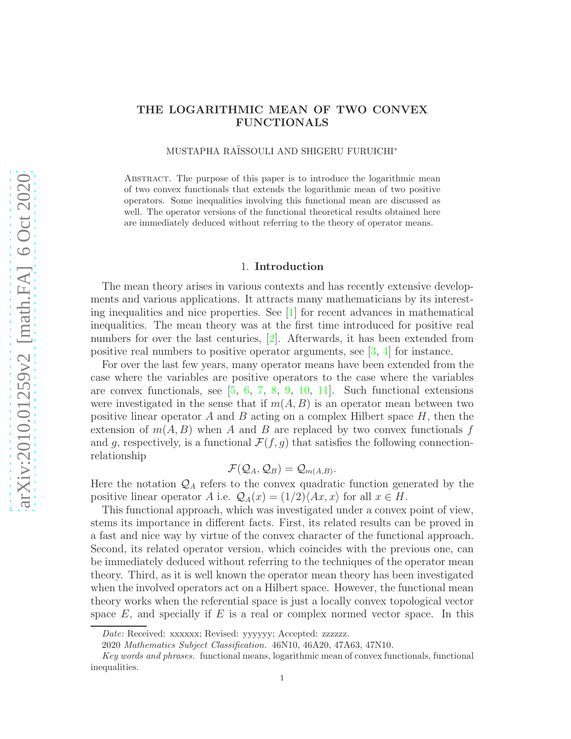# THE LOGARITHMIC MEAN OF TWO CONVEX FUNCTIONALS

MUSTAPHA RAÏSSOULI AND SHIGERU FURUICHI<sup>\*</sup>

ABSTRACT. The purpose of this paper is to introduce the logarithmic mean of two convex functionals that extends the logarithmic mean of two positive operators. Some inequalities involving this functional mean are discussed as well. The operator versions of the functional theoretical results obtained here are immediately deduced without referring to the theory of operator means.

## 1. Introduction

The mean theory arises in various contexts and has recently extensive developments and various applications. It attracts many mathematicians by its interesting inequalities and nice properties. See  $[1]$  for recent advances in mathematical inequalities. The mean theory was at the first time introduced for positive real numbers for over the last centuries,  $[2]$ . Afterwards, it has been extended from positive real numbers to positive operator arguments, see [\[3,](#page-19-2) [4\]](#page-19-3) for instance.

For over the last few years, many operator means have been extended from the case where the variables are positive operators to the case where the variables are convex functionals, see [\[5,](#page-19-4) [6,](#page-19-5) [7,](#page-19-6) [8,](#page-19-7) [9,](#page-19-8) [10,](#page-19-9) [11\]](#page-19-10). Such functional extensions were investigated in the sense that if  $m(A, B)$  is an operator mean between two positive linear operator A and B acting on a complex Hilbert space  $H$ , then the extension of  $m(A, B)$  when A and B are replaced by two convex functionals f and q, respectively, is a functional  $\mathcal{F}(f, q)$  that satisfies the following connectionrelationship

$$
\mathcal{F}(\mathcal{Q}_A,\mathcal{Q}_B)=\mathcal{Q}_{m(A,B)}.
$$

Here the notation  $\mathcal{Q}_A$  refers to the convex quadratic function generated by the positive linear operator A i.e.  $\mathcal{Q}_A(x) = (1/2)\langle Ax, x \rangle$  for all  $x \in H$ .

This functional approach, which was investigated under a convex point of view, stems its importance in different facts. First, its related results can be proved in a fast and nice way by virtue of the convex character of the functional approach. Second, its related operator version, which coincides with the previous one, can be immediately deduced without referring to the techniques of the operator mean theory. Third, as it is well known the operator mean theory has been investigated when the involved operators act on a Hilbert space. However, the functional mean theory works when the referential space is just a locally convex topological vector space  $E$ , and specially if  $E$  is a real or complex normed vector space. In this

Date: Received: xxxxxx; Revised: yyyyyy; Accepted: zzzzzz.

<sup>2020</sup> Mathematics Subject Classification. 46N10, 46A20, 47A63, 47N10.

Key words and phrases. functional means, logarithmic mean of convex functionals, functional inequalities.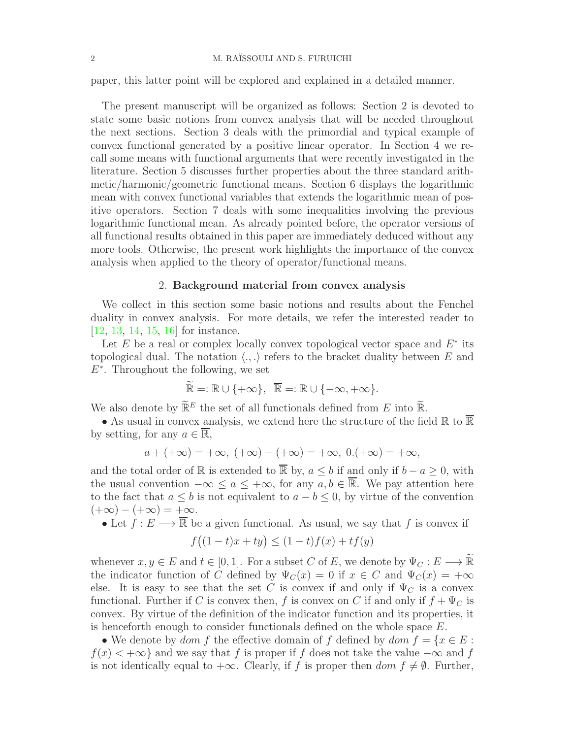paper, this latter point will be explored and explained in a detailed manner.

The present manuscript will be organized as follows: Section 2 is devoted to state some basic notions from convex analysis that will be needed throughout the next sections. Section 3 deals with the primordial and typical example of convex functional generated by a positive linear operator. In Section 4 we recall some means with functional arguments that were recently investigated in the literature. Section 5 discusses further properties about the three standard arithmetic/harmonic/geometric functional means. Section 6 displays the logarithmic mean with convex functional variables that extends the logarithmic mean of positive operators. Section 7 deals with some inequalities involving the previous logarithmic functional mean. As already pointed before, the operator versions of all functional results obtained in this paper are immediately deduced without any more tools. Otherwise, the present work highlights the importance of the convex analysis when applied to the theory of operator/functional means.

### 2. Background material from convex analysis

We collect in this section some basic notions and results about the Fenchel duality in convex analysis. For more details, we refer the interested reader to [\[12,](#page-19-11) [13,](#page-19-12) [14,](#page-19-13) [15,](#page-19-14) [16\]](#page-19-15) for instance.

Let  $E$  be a real or complex locally convex topological vector space and  $E^*$  its topological dual. The notation  $\langle ., . \rangle$  refers to the bracket duality between E and  $E^*$ . Throughout the following, we set

$$
\widetilde{\mathbb{R}} =: \mathbb{R} \cup \{+\infty\}, \ \ \overline{\mathbb{R}} =: \mathbb{R} \cup \{-\infty, +\infty\}.
$$

We also denote by  $\widetilde{\mathbb{R}}^E$  the set of all functionals defined from E into  $\widetilde{\mathbb{R}}$ .

• As usual in convex analysis, we extend here the structure of the field  $\mathbb R$  to  $\overline{\mathbb R}$ by setting, for any  $a \in \overline{\mathbb{R}}$ ,

$$
a + (+\infty) = +\infty, (+\infty) - (+\infty) = +\infty, 0. (+\infty) = +\infty,
$$

and the total order of R is extended to  $\overline{\mathbb{R}}$  by,  $a \leq b$  if and only if  $b - a \geq 0$ , with the usual convention  $-\infty \le a \le +\infty$ , for any  $a, b \in \overline{\mathbb{R}}$ . We pay attention here to the fact that  $a \leq b$  is not equivalent to  $a - b \leq 0$ , by virtue of the convention  $(+\infty) - (+\infty) = +\infty.$ 

• Let  $\hat{f}: E \longrightarrow \overline{\mathbb{R}}$  be a given functional. As usual, we say that f is convex if

$$
f\big((1-t)x+ty\big)\leq (1-t)f(x)+tf(y)
$$

whenever  $x, y \in E$  and  $t \in [0, 1]$ . For a subset C of E, we denote by  $\Psi_C : E \longrightarrow \widetilde{\mathbb{R}}$ the indicator function of C defined by  $\Psi_C(x) = 0$  if  $x \in C$  and  $\Psi_C(x) = +\infty$ else. It is easy to see that the set C is convex if and only if  $\Psi_C$  is a convex functional. Further if C is convex then, f is convex on C if and only if  $f + \Psi_C$  is convex. By virtue of the definition of the indicator function and its properties, it is henceforth enough to consider functionals defined on the whole space  $E$ .

• We denote by dom f the effective domain of f defined by dom  $f = \{x \in E :$  $f(x) < +\infty$  and we say that f is proper if f does not take the value  $-\infty$  and f is not identically equal to  $+\infty$ . Clearly, if f is proper then dom  $f \neq \emptyset$ . Further,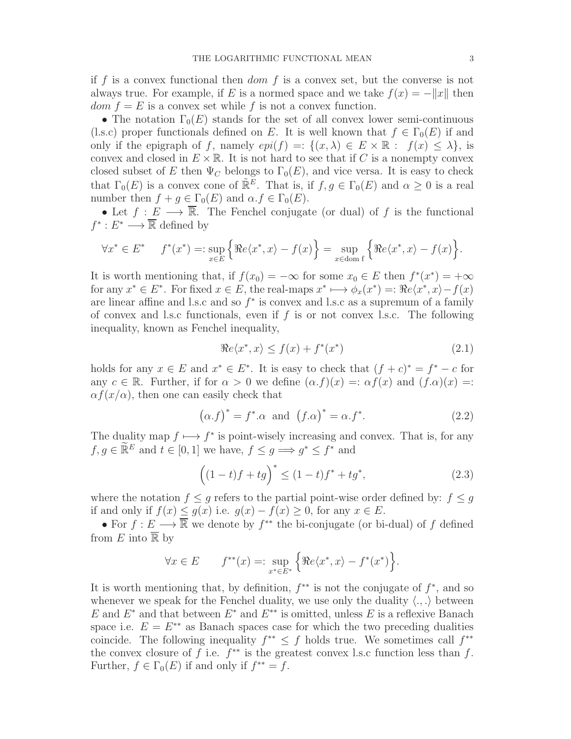if f is a convex functional then  $dom f$  is a convex set, but the converse is not always true. For example, if E is a normed space and we take  $f(x) = -||x||$  then  $dom f = E$  is a convex set while f is not a convex function.

• The notation  $\Gamma_0(E)$  stands for the set of all convex lower semi-continuous (l.s.c) proper functionals defined on E. It is well known that  $f \in \Gamma_0(E)$  if and only if the epigraph of f, namely  $epi(f) =: \{(x, \lambda) \in E \times \mathbb{R} : f(x) \leq \lambda\}$ , is convex and closed in  $E \times \mathbb{R}$ . It is not hard to see that if C is a nonempty convex closed subset of E then  $\Psi_C$  belongs to  $\Gamma_0(E)$ , and vice versa. It is easy to check that  $\Gamma_0(E)$  is a convex cone of  $\mathbb{R}^E$ . That is, if  $f, g \in \Gamma_0(E)$  and  $\alpha \geq 0$  is a real number then  $f + g \in \Gamma_0(E)$  and  $\alpha.f \in \Gamma_0(E)$ .

• Let  $f: E \longrightarrow \overline{\mathbb{R}}$ . The Fenchel conjugate (or dual) of f is the functional  $f^*: E^* \longrightarrow \overline{\mathbb{R}}$  defined by

$$
\forall x^* \in E^* \quad f^*(x^*) =: \sup_{x \in E} \left\{ \Re e \langle x^*, x \rangle - f(x) \right\} = \sup_{x \in \text{dom } f} \left\{ \Re e \langle x^*, x \rangle - f(x) \right\}.
$$

It is worth mentioning that, if  $f(x_0) = -\infty$  for some  $x_0 \in E$  then  $f^*(x^*) = +\infty$ for any  $x^* \in E^*$ . For fixed  $x \in E$ , the real-maps  $x^* \mapsto \phi_x(x^*) = \Re e \langle x^*, x \rangle - f(x)$ are linear affine and l.s.c and so  $f^*$  is convex and l.s.c as a supremum of a family of convex and l.s.c functionals, even if  $f$  is or not convex l.s.c. The following inequality, known as Fenchel inequality,

<span id="page-2-0"></span>
$$
\Re e \langle x^*, x \rangle \le f(x) + f^*(x^*) \tag{2.1}
$$

holds for any  $x \in E$  and  $x^* \in E^*$ . It is easy to check that  $(f + c)^* = f^* - c$  for any  $c \in \mathbb{R}$ . Further, if for  $\alpha > 0$  we define  $(\alpha f)(x) =: \alpha f(x)$  and  $(f \cdot \alpha)(x) =:$  $\alpha f(x/\alpha)$ , then one can easily check that

<span id="page-2-2"></span>
$$
(\alpha.f)^* = f^* \alpha \text{ and } (f.\alpha)^* = \alpha.f^*.
$$
 (2.2)

The duality map  $f \mapsto f^*$  is point-wisely increasing and convex. That is, for any  $f, g \in \widetilde{\mathbb{R}}^E$  and  $t \in [0, 1]$  we have,  $f \le g \Longrightarrow g^* \le f^*$  and

<span id="page-2-1"></span>
$$
((1-t)f + tg)^{*} \le (1-t)f^{*} + tg^{*},
$$
\n(2.3)

where the notation  $f \leq q$  refers to the partial point-wise order defined by:  $f \leq q$ if and only if  $f(x) \le g(x)$  i.e.  $g(x) - f(x) \ge 0$ , for any  $x \in E$ .

• For  $f: E \longrightarrow \overline{\mathbb{R}}$  we denote by  $f^{**}$  the bi-conjugate (or bi-dual) of f defined from E into  $\overline{\mathbb{R}}$  by

$$
\forall x \in E \qquad f^{**}(x) =: \sup_{x^* \in E^*} \left\{ \Re e \langle x^*, x \rangle - f^*(x^*) \right\}.
$$

It is worth mentioning that, by definition,  $f^{**}$  is not the conjugate of  $f^*$ , and so whenever we speak for the Fenchel duality, we use only the duality  $\langle ., . \rangle$  between E and  $E^*$  and that between  $E^*$  and  $E^{**}$  is omitted, unless E is a reflexive Banach space i.e.  $E = E^{**}$  as Banach spaces case for which the two preceding dualities coincide. The following inequality  $f^{**} \leq f$  holds true. We sometimes call  $f^{**}$ the convex closure of f i.e.  $f^{**}$  is the greatest convex l.s.c function less than f. Further,  $f \in \Gamma_0(E)$  if and only if  $f^{**} = f$ .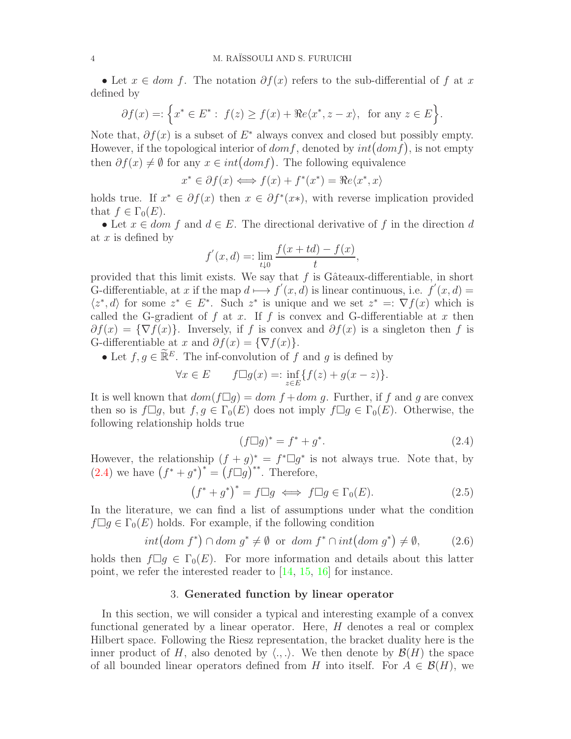• Let  $x \in dom f$ . The notation  $\partial f(x)$  refers to the sub-differential of f at x defined by

$$
\partial f(x) = \left\{ x^* \in E^* : f(z) \ge f(x) + \Re e \langle x^*, z - x \rangle, \text{ for any } z \in E \right\}.
$$

Note that,  $\partial f(x)$  is a subset of  $E^*$  always convex and closed but possibly empty. However, if the topological interior of  $dom f$ , denoted by  $int(dom f)$ , is not empty then  $\partial f(x) \neq \emptyset$  for any  $x \in int(domf)$ . The following equivalence

$$
x^* \in \partial f(x) \Longleftrightarrow f(x) + f^*(x^*) = \Re e \langle x^*, x \rangle
$$

holds true. If  $x^* \in \partial f(x)$  then  $x \in \partial f^*(x^*)$ , with reverse implication provided that  $f \in \Gamma_0(E)$ .

• Let  $x \in dom f$  and  $d \in E$ . The directional derivative of f in the direction d at  $x$  is defined by

$$
f'(x, d) =: \lim_{t \downarrow 0} \frac{f(x + td) - f(x)}{t},
$$

provided that this limit exists. We say that  $f$  is Gâteaux-differentiable, in short G-differentiable, at x if the map  $d \mapsto f'(x, d)$  is linear continuous, i.e.  $f'(x, d) =$  $\langle z^*, d \rangle$  for some  $z^* \in E^*$ . Such  $z^*$  is unique and we set  $z^* =: \nabla f(x)$  which is called the G-gradient of f at x. If f is convex and G-differentiable at x then  $\partial f(x) = {\nabla f(x)}$ . Inversely, if f is convex and  $\partial f(x)$  is a singleton then f is G-differentiable at x and  $\partial f(x) = \{\nabla f(x)\}.$ 

• Let  $f, g \in \widetilde{\mathbb{R}}^E$ . The inf-convolution of f and g is defined by

$$
\forall x \in E \qquad f \Box g(x) =: \inf_{z \in E} \{ f(z) + g(x - z) \}.
$$

It is well known that  $dom(f \Box g) = dom f + dom g$ . Further, if f and g are convex then so is  $f\Box g$ , but  $f, g \in \Gamma_0(E)$  does not imply  $f\Box g \in \Gamma_0(E)$ . Otherwise, the following relationship holds true

<span id="page-3-0"></span>
$$
(f \Box g)^* = f^* + g^*.
$$
 (2.4)

However, the relationship  $(f + g)^* = f^* \Box g^*$  is not always true. Note that, by  $(2.4)$  we have  $(f^* + g^*)^* = (f \Box g)^{**}$ . Therefore,

$$
(f^* + g^*)^* = f \Box g \iff f \Box g \in \Gamma_0(E). \tag{2.5}
$$

In the literature, we can find a list of assumptions under what the condition  $f \Box g \in \Gamma_0(E)$  holds. For example, if the following condition

<span id="page-3-1"></span>
$$
int\big(dom f^*\big) \cap dom g^* \neq \emptyset \text{ or } dom f^* \cap int\big(dom g^*\big) \neq \emptyset, \tag{2.6}
$$

holds then  $f\Box g \in \Gamma_0(E)$ . For more information and details about this latter point, we refer the interested reader to [\[14,](#page-19-13) [15,](#page-19-14) [16\]](#page-19-15) for instance.

### 3. Generated function by linear operator

In this section, we will consider a typical and interesting example of a convex functional generated by a linear operator. Here, H denotes a real or complex Hilbert space. Following the Riesz representation, the bracket duality here is the inner product of H, also denoted by  $\langle ., . \rangle$ . We then denote by  $\mathcal{B}(H)$  the space of all bounded linear operators defined from H into itself. For  $A \in \mathcal{B}(H)$ , we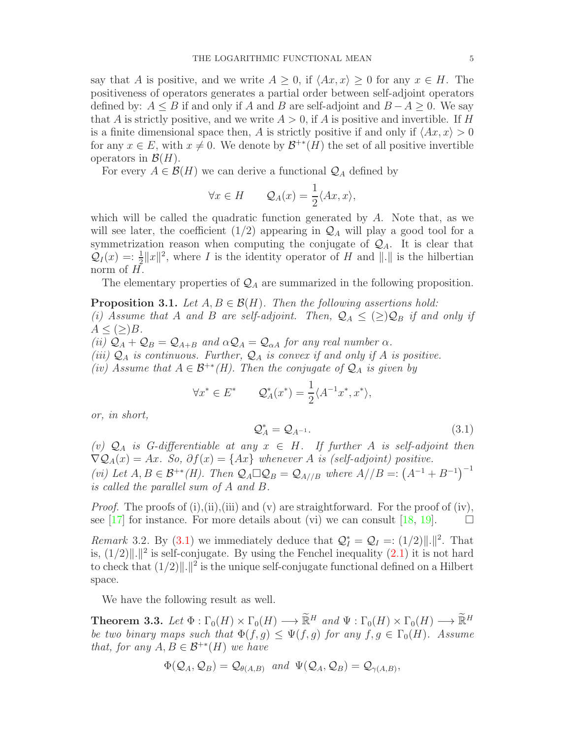say that A is positive, and we write  $A \geq 0$ , if  $\langle Ax, x \rangle \geq 0$  for any  $x \in H$ . The positiveness of operators generates a partial order between self-adjoint operators defined by:  $A \leq B$  if and only if A and B are self-adjoint and  $B - A \geq 0$ . We say that A is strictly positive, and we write  $A > 0$ , if A is positive and invertible. If H is a finite dimensional space then, A is strictly positive if and only if  $\langle Ax, x \rangle > 0$ for any  $x \in E$ , with  $x \neq 0$ . We denote by  $\mathcal{B}^{+*}(H)$  the set of all positive invertible operators in  $\mathcal{B}(H)$ .

For every  $A \in \mathcal{B}(H)$  we can derive a functional  $\mathcal{Q}_A$  defined by

$$
\forall x \in H \qquad \mathcal{Q}_A(x) = \frac{1}{2} \langle Ax, x \rangle,
$$

which will be called the quadratic function generated by  $A$ . Note that, as we will see later, the coefficient  $(1/2)$  appearing in  $\mathcal{Q}_A$  will play a good tool for a symmetrization reason when computing the conjugate of  $\mathcal{Q}_A$ . It is clear that  $\mathcal{Q}_I(x) = \frac{1}{2} ||x||^2$ , where I is the identity operator of H and  $||.||$  is the hilbertian norm of  $H$ .

The elementary properties of  $\mathcal{Q}_A$  are summarized in the following proposition.

<span id="page-4-1"></span>**Proposition 3.1.** Let  $A, B \in \mathcal{B}(H)$ . Then the following assertions hold: (i) Assume that A and B are self-adjoint. Then,  $\mathcal{Q}_A \leq (\geq) \mathcal{Q}_B$  if and only if  $A \leq (\geq)B$ . (ii)  $\mathcal{Q}_A + \mathcal{Q}_B = \mathcal{Q}_{A+B}$  and  $\alpha \mathcal{Q}_A = \mathcal{Q}_{\alpha A}$  for any real number  $\alpha$ . (iii)  $\mathcal{Q}_A$  is continuous. Further,  $\mathcal{Q}_A$  is convex if and only if A is positive. (iv) Assume that  $A \in \mathcal{B}^{+*}(H)$ . Then the conjugate of  $\mathcal{Q}_A$  is given by

$$
\forall x^* \in E^* \qquad \mathcal{Q}_A^*(x^*) = \frac{1}{2} \langle A^{-1} x^*, x^* \rangle,
$$

or, in short,

<span id="page-4-0"></span>
$$
\mathcal{Q}_A^* = \mathcal{Q}_{A^{-1}}.\tag{3.1}
$$

(v)  $\mathcal{Q}_A$  is G-differentiable at any  $x \in H$ . If further A is self-adjoint then  $\nabla \mathcal{Q}_A(x) = Ax$ . So,  $\partial f(x) = \{Ax\}$  whenever A is (self-adjoint) positive. (vi) Let  $A, B \in \mathcal{B}^{+*}(H)$ . Then  $\mathcal{Q}_A \square \mathcal{Q}_B = \mathcal{Q}_{A//B}$  where  $A//B =: (A^{-1} + B^{-1})^{-1}$ is called the parallel sum of A and B.

*Proof.* The proofs of (i),(ii),(iii) and (v) are straightforward. For the proof of (iv), see [\[17\]](#page-19-16) for instance. For more details about (vi) we can consult [\[18,](#page-19-17) [19\]](#page-19-18).  $\Box$ 

Remark 3.2. By [\(3.1\)](#page-4-0) we immediately deduce that  $\mathcal{Q}_I^* = \mathcal{Q}_I =: (1/2)\|\cdot\|^2$ . That is,  $(1/2)$ ||.||<sup>2</sup> is self-conjugate. By using the Fenchel inequality  $(2.1)$  it is not hard to check that  $(1/2)$ ||.||<sup>2</sup> is the unique self-conjugate functional defined on a Hilbert space.

We have the following result as well.

<span id="page-4-2"></span>**Theorem 3.3.** Let  $\Phi : \Gamma_0(H) \times \Gamma_0(H) \longrightarrow \widetilde{\mathbb{R}}^H$  and  $\Psi : \Gamma_0(H) \times \Gamma_0(H) \longrightarrow \widetilde{\mathbb{R}}^H$ be two binary maps such that  $\Phi(f,g) \leq \Psi(f,g)$  for any  $f,g \in \Gamma_0(H)$ . Assume that, for any  $A, B \in \mathcal{B}^{+*}(H)$  we have

$$
\Phi(\mathcal{Q}_A,\mathcal{Q}_B)=\mathcal{Q}_{\theta(A,B)} \ \ and \ \ \Psi(\mathcal{Q}_A,\mathcal{Q}_B)=\mathcal{Q}_{\gamma(A,B)},
$$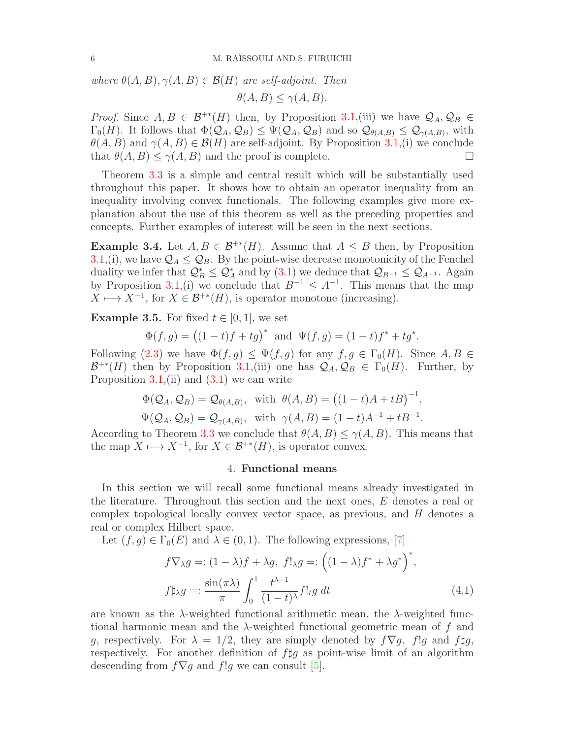where  $\theta(A, B), \gamma(A, B) \in \mathcal{B}(H)$  are self-adjoint. Then

$$
\theta(A, B) \le \gamma(A, B).
$$

*Proof.* Since  $A, B \in \mathcal{B}^{+*}(H)$  then, by Proposition [3.1,](#page-4-1)(iii) we have  $\mathcal{Q}_A, \mathcal{Q}_B \in$  $\Gamma_0(H)$ . It follows that  $\Phi(\mathcal{Q}_A, \mathcal{Q}_B) \leq \Psi(\mathcal{Q}_A, \mathcal{Q}_B)$  and so  $\mathcal{Q}_{\theta(A,B)} \leq \mathcal{Q}_{\gamma(A,B)}$ , with  $\theta(A, B)$  and  $\gamma(A, B) \in \mathcal{B}(H)$  are self-adjoint. By Proposition [3.1,](#page-4-1)(i) we conclude that  $\theta(A, B) \leq \gamma(A, B)$  and the proof is complete that  $\theta(A, B) \leq \gamma(A, B)$  and the proof is complete.

Theorem [3.3](#page-4-2) is a simple and central result which will be substantially used throughout this paper. It shows how to obtain an operator inequality from an inequality involving convex functionals. The following examples give more explanation about the use of this theorem as well as the preceding properties and concepts. Further examples of interest will be seen in the next sections.

**Example 3.4.** Let  $A, B \in \mathcal{B}^{+*}(H)$ . Assume that  $A \leq B$  then, by Proposition [3.1,](#page-4-1)(i), we have  $\mathcal{Q}_A \leq \mathcal{Q}_B$ . By the point-wise decrease monotonicity of the Fenchel duality we infer that  $\mathcal{Q}_{B}^{*} \leq \mathcal{Q}_{A}^{*}$  and by  $(3.1)$  we deduce that  $\mathcal{Q}_{B^{-1}} \leq \mathcal{Q}_{A^{-1}}$ . Again by Proposition [3.1,](#page-4-1)(i) we conclude that  $B^{-1} \leq A^{-1}$ . This means that the map  $X \longmapsto X^{-1}$ , for  $X \in \mathcal{B}^{+*}(H)$ , is operator monotone (increasing).

**Example 3.5.** For fixed  $t \in [0, 1]$ , we set

$$
\Phi(f,g) = ((1-t)f + tg)^* \text{ and } \Psi(f,g) = (1-t)f^* + tg^*.
$$

Following [\(2.3\)](#page-2-1) we have  $\Phi(f,g) \leq \Psi(f,g)$  for any  $f,g \in \Gamma_0(H)$ . Since  $A, B \in$  $\mathcal{B}^{+*}(H)$  then by Proposition [3.1,](#page-4-1)(iii) one has  $\mathcal{Q}_A, \mathcal{Q}_B \in \Gamma_0(H)$ . Further, by Proposition  $3.1$ , (ii) and  $(3.1)$  we can write

$$
\Phi(\mathcal{Q}_A, \mathcal{Q}_B) = \mathcal{Q}_{\theta(A,B)}, \text{ with } \theta(A,B) = \big((1-t)A + tB\big)^{-1},
$$

$$
\Psi(Q_A, Q_B) = Q_{\gamma(A,B)}
$$
, with  $\gamma(A, B) = (1 - t)A^{-1} + tB^{-1}$ .

According to Theorem [3.3](#page-4-2) we conclude that  $\theta(A, B) \leq \gamma(A, B)$ . This means that the map  $X \longrightarrow X^{-1}$ , for  $X \in \mathcal{B}^{+*}(H)$ , is operator convex.

## 4. Functional means

In this section we will recall some functional means already investigated in the literature. Throughout this section and the next ones, E denotes a real or complex topological locally convex vector space, as previous, and  $H$  denotes a real or complex Hilbert space.

Let  $(f, g) \in \Gamma_0(E)$  and  $\lambda \in (0, 1)$ . The following expressions, [\[7\]](#page-19-6)

<span id="page-5-0"></span>
$$
f\nabla_{\lambda}g =: (1 - \lambda)f + \lambda g, \ f!_{\lambda}g =: ((1 - \lambda)f^* + \lambda g^*)^*,
$$
  

$$
f \sharp_{\lambda}g =: \frac{\sin(\pi \lambda)}{\pi} \int_0^1 \frac{t^{\lambda - 1}}{(1 - t)^{\lambda}} f!_{t}g \ dt
$$
 (4.1)

are known as the  $\lambda$ -weighted functional arithmetic mean, the  $\lambda$ -weighted functional harmonic mean and the  $\lambda$ -weighted functional geometric mean of f and g, respectively. For  $\lambda = 1/2$ , they are simply denoted by  $f\nabla g$ , f!g and f#g, respectively. For another definition of  $f \sharp g$  as point-wise limit of an algorithm descending from  $f\nabla g$  and  $f!g$  we can consult [\[5\]](#page-19-4).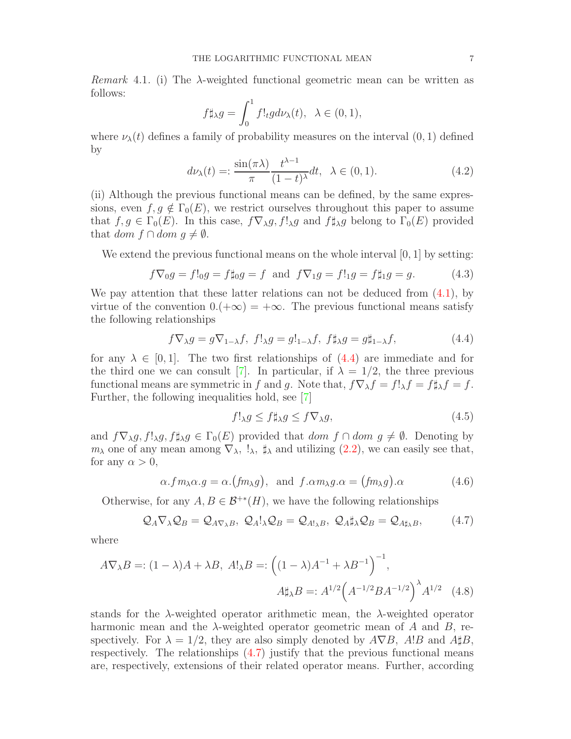$$
f\sharp_{\lambda}g=\int_0^1f!_tgd\nu_{\lambda}(t),\ \ \lambda\in(0,1),
$$

where  $\nu_{\lambda}(t)$  defines a family of probability measures on the interval  $(0, 1)$  defined by

<span id="page-6-3"></span>
$$
d\nu_{\lambda}(t) = \frac{\sin(\pi\lambda)}{\pi} \frac{t^{\lambda-1}}{(1-t)^{\lambda}} dt, \quad \lambda \in (0,1).
$$
 (4.2)

(ii) Although the previous functional means can be defined, by the same expressions, even  $f, g \notin \Gamma_0(E)$ , we restrict ourselves throughout this paper to assume that  $f, g \in \Gamma_0(E)$ . In this case,  $f\nabla_\lambda g, f!_\lambda g$  and  $f\sharp_\lambda g$  belong to  $\Gamma_0(E)$  provided that dom  $f \cap dom \ q \neq \emptyset$ .

We extend the previous functional means on the whole interval  $[0, 1]$  by setting:

$$
f\nabla_0 g = f!_0 g = f \sharp_0 g = f \text{ and } f\nabla_1 g = f!_1 g = f \sharp_1 g = g.
$$
 (4.3)

We pay attention that these latter relations can not be deduced from  $(4.1)$ , by virtue of the convention  $0.(+\infty) = +\infty$ . The previous functional means satisfy the following relationships

<span id="page-6-0"></span>
$$
f \nabla_{\lambda} g = g \nabla_{1-\lambda} f, \ f!_{\lambda} g = g!_{1-\lambda} f, \ f \sharp_{\lambda} g = g \sharp_{1-\lambda} f, \tag{4.4}
$$

for any  $\lambda \in [0,1]$ . The two first relationships of  $(4.4)$  are immediate and for the third one we can consult [\[7\]](#page-19-6). In particular, if  $\lambda = 1/2$ , the three previous functional means are symmetric in f and g. Note that,  $f\nabla_\lambda f = f!_\lambda f = f \sharp_\lambda f = f$ . Further, the following inequalities hold, see [\[7\]](#page-19-6)

<span id="page-6-2"></span>
$$
f!_{\lambda}g \le f \sharp_{\lambda}g \le f \nabla_{\lambda}g,\tag{4.5}
$$

and  $f\nabla_{\lambda}g, f!_{\lambda}g, f\sharp_{\lambda}g \in \Gamma_0(E)$  provided that  $dom f \cap dom g \neq \emptyset$ . Denoting by  $m_\lambda$  one of any mean among  $\nabla_\lambda$ ,  $\downarrow_\lambda$ ,  $\sharp_\lambda$  and utilizing [\(2.2\)](#page-2-2), we can easily see that, for any  $\alpha > 0$ ,

$$
\alpha. fm_{\lambda}\alpha. g = \alpha.(fm_{\lambda}g), \text{ and } f.\alpha m_{\lambda}g.\alpha = (fm_{\lambda}g).\alpha
$$
\n(4.6)

Otherwise, for any  $A, B \in \mathcal{B}^{+*}(H)$ , we have the following relationships

<span id="page-6-1"></span>
$$
\mathcal{Q}_A \nabla_\lambda \mathcal{Q}_B = \mathcal{Q}_{A \nabla_\lambda B}, \ \mathcal{Q}_A!_\lambda \mathcal{Q}_B = \mathcal{Q}_{A!_\lambda B}, \ \mathcal{Q}_A \sharp_\lambda \mathcal{Q}_B = \mathcal{Q}_{A \sharp_\lambda B}, \tag{4.7}
$$

where

follows:

$$
A\nabla_{\lambda}B =: (1 - \lambda)A + \lambda B, \ A!_{\lambda}B =: \left( (1 - \lambda)A^{-1} + \lambda B^{-1} \right)^{-1},
$$

$$
A \sharp_{\lambda}B =: A^{1/2} \left( A^{-1/2} B A^{-1/2} \right)^{\lambda} A^{1/2} \quad (4.8)
$$

stands for the  $\lambda$ -weighted operator arithmetic mean, the  $\lambda$ -weighted operator harmonic mean and the  $\lambda$ -weighted operator geometric mean of A and B, respectively. For  $\lambda = 1/2$ , they are also simply denoted by  $A \nabla B$ ,  $A!B$  and  $A \sharp B$ , respectively. The relationships [\(4.7\)](#page-6-1) justify that the previous functional means are, respectively, extensions of their related operator means. Further, according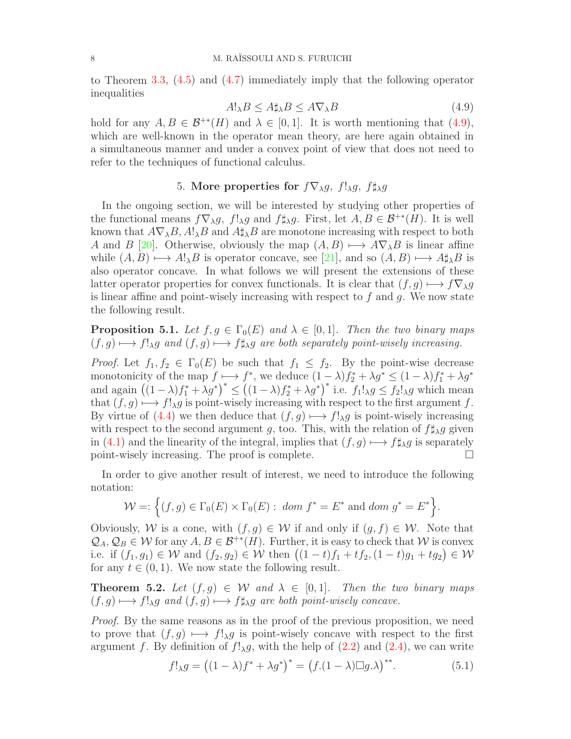to Theorem [3.3,](#page-4-2) [\(4.5\)](#page-6-2) and [\(4.7\)](#page-6-1) immediately imply that the following operator inequalities

<span id="page-7-0"></span>
$$
A!_{\lambda}B \le A \sharp_{\lambda} B \le A \nabla_{\lambda} B \tag{4.9}
$$

hold for any  $A, B \in \mathcal{B}^{+*}(H)$  and  $\lambda \in [0,1]$ . It is worth mentioning that [\(4.9\)](#page-7-0), which are well-known in the operator mean theory, are here again obtained in a simultaneous manner and under a convex point of view that does not need to refer to the techniques of functional calculus.

# 5. More properties for  $f\nabla_{\lambda}q$ ,  $f!_{\lambda}q$ ,  $f\sharp_{\lambda}q$

In the ongoing section, we will be interested by studying other properties of the functional means  $f\nabla_{\lambda}g$ ,  $f!_{\lambda}g$  and  $f\sharp_{\lambda}g$ . First, let  $A, B \in \mathcal{B}^{+*}(H)$ . It is well known that  $A\nabla_{\lambda}B$ ,  $A!\lambda B$  and  $A\sharp_{\lambda}B$  are monotone increasing with respect to both A and B [\[20\]](#page-19-19). Otherwise, obviously the map  $(A, B) \longmapsto A\nabla_{\lambda}B$  is linear affine while  $(A, B) \longmapsto A!_{\lambda}B$  is operator concave, see [\[21\]](#page-19-20), and so  $(A, B) \longmapsto A\sharp_{\lambda}B$  is also operator concave. In what follows we will present the extensions of these latter operator properties for convex functionals. It is clear that  $(f, g) \mapsto f \nabla_{\lambda} g$ is linear affine and point-wisely increasing with respect to  $f$  and  $g$ . We now state the following result.

<span id="page-7-2"></span>**Proposition 5.1.** Let  $f, g \in \Gamma_0(E)$  and  $\lambda \in [0, 1]$ . Then the two binary maps  $(f, g) \longmapsto f!_{\lambda}g$  and  $(f, g) \longmapsto f \sharp_{\lambda}g$  are both separately point-wisely increasing.

*Proof.* Let  $f_1, f_2 \in \Gamma_0(E)$  be such that  $f_1 \leq f_2$ . By the point-wise decrease monotonicity of the map  $f \mapsto f^*$ , we deduce  $(1 - \lambda)f_2^* + \lambda g^* \le (1 - \lambda)f_1^* + \lambda g^*$ and again  $((1 - \lambda)f_1^* + \lambda g^*)^* \le ((1 - \lambda)f_2^* + \lambda g^*)^*$  i.e.  $f_1!_{\lambda}g \le f_2!_{\lambda}g$  which mean that  $(f, g) \longrightarrow f!_{\lambda}g$  is point-wisely increasing with respect to the first argument f. By virtue of [\(4.4\)](#page-6-0) we then deduce that  $(f, g) \mapsto f!_{\lambda}g$  is point-wisely increasing with respect to the second argument g, too. This, with the relation of  $f \sharp_{\lambda} g$  given in [\(4.1\)](#page-5-0) and the linearity of the integral, implies that  $(f, g) \mapsto f \sharp_{\lambda} g$  is separately point-wisely increasing. The proof is complete. point-wisely increasing. The proof is complete.

In order to give another result of interest, we need to introduce the following notation:

$$
\mathcal{W} =: \left\{ (f,g) \in \Gamma_0(E) \times \Gamma_0(E) : \text{ dom } f^* = E^* \text{ and } \text{dom } g^* = E^* \right\}.
$$

Obviously, W is a cone, with  $(f, g) \in W$  if and only if  $(g, f) \in W$ . Note that  $\mathcal{Q}_A, \mathcal{Q}_B \in \mathcal{W}$  for any  $A, B \in \mathcal{B}^{+*}(H)$ . Further, it is easy to check that W is convex i.e. if  $(f_1, g_1) \in \mathcal{W}$  and  $(f_2, g_2) \in \mathcal{W}$  then  $((1-t)f_1 + tf_2, (1-t)g_1 + tg_2) \in \mathcal{W}$ for any  $t \in (0, 1)$ . We now state the following result.

<span id="page-7-3"></span>**Theorem 5.2.** Let  $(f, g) \in W$  and  $\lambda \in [0, 1]$ . Then the two binary maps  $(f, g) \longmapsto f!_{\lambda}g$  and  $(f, g) \longmapsto f \sharp_{\lambda}g$  are both point-wisely concave.

Proof. By the same reasons as in the proof of the previous proposition, we need to prove that  $(f, g) \mapsto f!_{\lambda}g$  is point-wisely concave with respect to the first argument f. By definition of  $f!_{\lambda}g$ , with the help of  $(2.2)$  and  $(2.4)$ , we can write

<span id="page-7-1"></span>
$$
f!_{\lambda}g = ((1 - \lambda)f^* + \lambda g^*)^* = (f.(1 - \lambda)\square g.\lambda)^{**}.
$$
\n(5.1)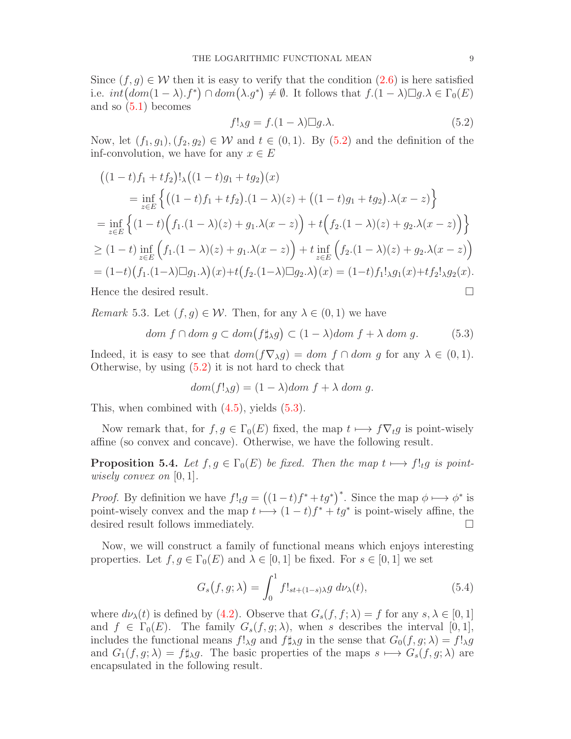Since  $(f, g) \in \mathcal{W}$  then it is easy to verify that the condition  $(2.6)$  is here satisfied i.e.  $int(dom(1-\lambda). f^*) \cap dom(\lambda.g^*) \neq \emptyset$ . It follows that  $f.(1-\lambda) \square g.\lambda \in \Gamma_0(E)$ and so [\(5.1\)](#page-7-1) becomes

<span id="page-8-0"></span>
$$
f!_{\lambda}g = f.(1 - \lambda) \Box g.\lambda.
$$
 (5.2)

Now, let  $(f_1, g_1), (f_2, g_2) \in W$  and  $t \in (0, 1)$ . By  $(5.2)$  and the definition of the inf-convolution, we have for any  $x \in E$ 

$$
\begin{split}\n&\left((1-t)f_1 + tf_2\right)!\lambda\left((1-t)g_1 + tg_2\right)(x) \\
&= \inf_{z \in E} \left\{ \left((1-t)f_1 + tf_2\right).(1-\lambda)(z) + \left((1-t)g_1 + tg_2\right).\lambda(x-z) \right\} \\
&= \inf_{z \in E} \left\{ (1-t)\left(f_1.(1-\lambda)(z) + g_1.\lambda(x-z)\right) + t\left(f_2.(1-\lambda)(z) + g_2.\lambda(x-z)\right) \right\} \\
&\geq (1-t)\inf_{z \in E} \left(f_1.(1-\lambda)(z) + g_1.\lambda(x-z)\right) + t\inf_{z \in E} \left(f_2.(1-\lambda)(z) + g_2.\lambda(x-z)\right) \\
&= (1-t)\left(f_1.(1-\lambda)\Box g_1.\lambda\right)(x) + t\left(f_2.(1-\lambda)\Box g_2.\lambda\right)(x) = (1-t)f_1!\lambda g_1(x) + tf_2!\lambda g_2(x).\n\end{split}
$$
\nHence the desired result.

*Remark* 5.3. Let  $(f, q) \in \mathcal{W}$ . Then, for any  $\lambda \in (0, 1)$  we have

<span id="page-8-1"></span>
$$
dom f \cap dom g \subset dom(f \sharp_{\lambda} g) \subset (1 - \lambda) dom f + \lambda dom g. \tag{5.3}
$$

Indeed, it is easy to see that  $dom(f\nabla_{\lambda}g) = dom f \cap dom g$  for any  $\lambda \in (0,1)$ . Otherwise, by using [\(5.2\)](#page-8-0) it is not hard to check that

$$
dom(f!_{\lambda}g) = (1 - \lambda)dom f + \lambda dom g.
$$

This, when combined with  $(4.5)$ , yields  $(5.3)$ .

Now remark that, for  $f, g \in \Gamma_0(E)$  fixed, the map  $t \mapsto f \nabla_t g$  is point-wisely affine (so convex and concave). Otherwise, we have the following result.

<span id="page-8-2"></span>**Proposition 5.4.** Let  $f, g \in \Gamma_0(E)$  be fixed. Then the map  $t \mapsto f!_{t}g$  is pointwisely convex on  $[0, 1]$ .

*Proof.* By definition we have  $f!_tg = ((1-t)f^*+tg^*)^*$ . Since the map  $\phi \mapsto \phi^*$  is point-wisely convex and the map  $t \mapsto (1-t)f^* + tg^*$  is point-wisely affine, the desired result follows immediately.

Now, we will construct a family of functional means which enjoys interesting properties. Let  $f, g \in \Gamma_0(E)$  and  $\lambda \in [0, 1]$  be fixed. For  $s \in [0, 1]$  we set

<span id="page-8-3"></span>
$$
G_s(f, g; \lambda) = \int_0^1 f!_{st + (1-s)\lambda} g \, d\nu_\lambda(t), \tag{5.4}
$$

where  $d\nu_{\lambda}(t)$  is defined by [\(4.2\)](#page-6-3). Observe that  $G_s(f, f; \lambda) = f$  for any  $s, \lambda \in [0, 1]$ and  $f \in \Gamma_0(E)$ . The family  $G_s(f, g; \lambda)$ , when s describes the interval [0, 1], includes the functional means  $f!_{\lambda}g$  and  $f\sharp_{\lambda}g$  in the sense that  $G_0(f, g; \lambda) = f!_{\lambda}g$ and  $G_1(f, g; \lambda) = f \sharp_{\lambda} g$ . The basic properties of the maps  $s \mapsto G_s(f, g; \lambda)$  are encapsulated in the following result.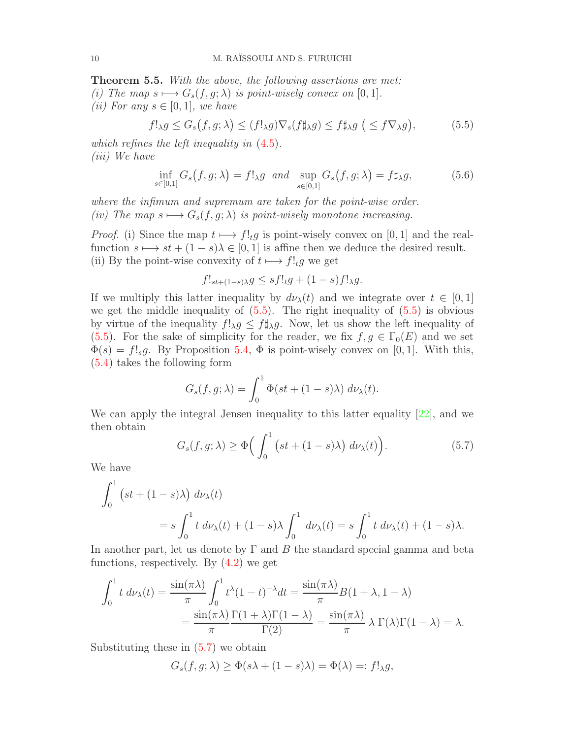<span id="page-9-3"></span>Theorem 5.5. With the above, the following assertions are met:

- (i) The map  $s \mapsto G_s(f, g; \lambda)$  is point-wisely convex on [0, 1].
- (*ii*) For any  $s \in [0,1]$ , we have

<span id="page-9-0"></span>
$$
f!_{\lambda}g \le G_s(f, g; \lambda) \le (f!_{\lambda}g)\nabla_s(f\sharp_{\lambda}g) \le f\sharp_{\lambda}g \quad (\le f\nabla_{\lambda}g),\tag{5.5}
$$

which refines the left inequality in  $(4.5)$ . (iii) We have

<span id="page-9-2"></span>
$$
\inf_{s \in [0,1]} G_s(f, g; \lambda) = f!_{\lambda} g \text{ and } \sup_{s \in [0,1]} G_s(f, g; \lambda) = f \sharp_{\lambda} g,
$$
\n(5.6)

where the infimum and supremum are taken for the point-wise order. (iv) The map  $s \mapsto G_s(f, g; \lambda)$  is point-wisely monotone increasing.

*Proof.* (i) Since the map  $t \mapsto f!_tg$  is point-wisely convex on [0, 1] and the realfunction  $s \mapsto st + (1 - s)\lambda \in [0, 1]$  is affine then we deduce the desired result. (ii) By the point-wise convexity of  $t \mapsto f!_t g$  we get

$$
f!_{st+(1-s)\lambda}g \le sf!_tg+(1-s)f!_{\lambda}g.
$$

If we multiply this latter inequality by  $d\nu_{\lambda}(t)$  and we integrate over  $t \in [0,1]$ we get the middle inequality of  $(5.5)$ . The right inequality of  $(5.5)$  is obvious by virtue of the inequality  $f!_{\lambda}g \leq f\sharp_{\lambda}g$ . Now, let us show the left inequality of [\(5.5\)](#page-9-0). For the sake of simplicity for the reader, we fix  $f, g \in \Gamma_0(E)$  and we set  $\Phi(s) = f!_s g$ . By Proposition [5.4,](#page-8-2)  $\Phi$  is point-wisely convex on [0, 1]. With this, [\(5.4\)](#page-8-3) takes the following form

$$
G_s(f, g; \lambda) = \int_0^1 \Phi(st + (1 - s)\lambda) \, d\nu_\lambda(t).
$$

We can apply the integral Jensen inequality to this latter equality [\[22\]](#page-19-21), and we then obtain

<span id="page-9-1"></span>
$$
G_s(f, g; \lambda) \ge \Phi\left(\int_0^1 \left(st + (1 - s)\lambda\right) d\nu_\lambda(t)\right). \tag{5.7}
$$

We have

$$
\int_0^1 (st + (1 - s)\lambda) d\nu_\lambda(t)
$$
  
=  $s \int_0^1 t d\nu_\lambda(t) + (1 - s)\lambda \int_0^1 d\nu_\lambda(t) = s \int_0^1 t d\nu_\lambda(t) + (1 - s)\lambda.$ 

In another part, let us denote by  $\Gamma$  and  $B$  the standard special gamma and beta functions, respectively. By  $(4.2)$  we get

$$
\int_0^1 t \, d\nu_\lambda(t) = \frac{\sin(\pi \lambda)}{\pi} \int_0^1 t^\lambda (1-t)^{-\lambda} dt = \frac{\sin(\pi \lambda)}{\pi} B(1+\lambda, 1-\lambda)
$$

$$
= \frac{\sin(\pi \lambda)}{\pi} \frac{\Gamma(1+\lambda)\Gamma(1-\lambda)}{\Gamma(2)} = \frac{\sin(\pi \lambda)}{\pi} \lambda \Gamma(\lambda)\Gamma(1-\lambda) = \lambda.
$$

Substituting these in [\(5.7\)](#page-9-1) we obtain

$$
G_s(f, g; \lambda) \ge \Phi(s\lambda + (1 - s)\lambda) = \Phi(\lambda) =: f!_{\lambda}g,
$$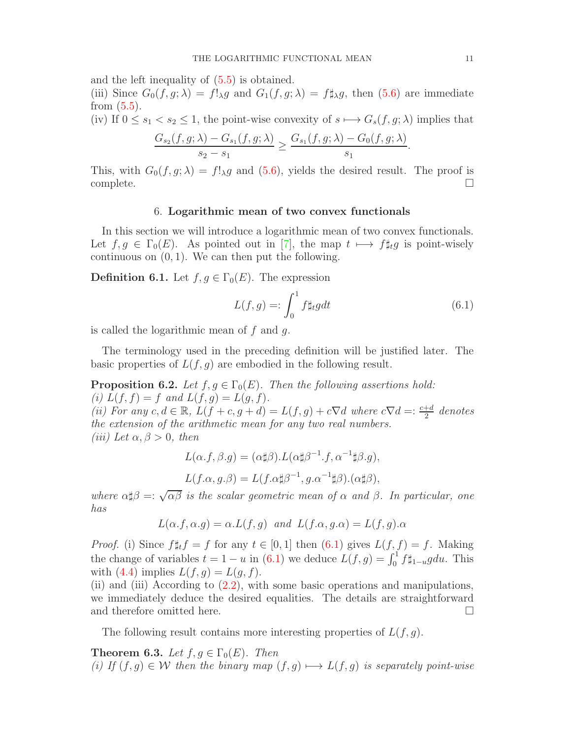and the left inequality of [\(5.5\)](#page-9-0) is obtained.

(iii) Since  $G_0(f, g; \lambda) = f!_\lambda g$  and  $G_1(f, g; \lambda) = f \sharp_\lambda g$ , then [\(5.6\)](#page-9-2) are immediate from  $(5.5)$ .

(iv) If  $0 \le s_1 < s_2 \le 1$ , the point-wise convexity of  $s \mapsto G_s(f, g; \lambda)$  implies that

$$
\frac{G_{s_2}(f,g;\lambda) - G_{s_1}(f,g;\lambda)}{s_2 - s_1} \ge \frac{G_{s_1}(f,g;\lambda) - G_0(f,g;\lambda)}{s_1}
$$

This, with  $G_0(f, g; \lambda) = f!_\lambda g$  and [\(5.6\)](#page-9-2), yields the desired result. The proof is complete.  $\square$ 

### 6. Logarithmic mean of two convex functionals

In this section we will introduce a logarithmic mean of two convex functionals. Let  $f, g \in \Gamma_0(E)$ . As pointed out in [\[7\]](#page-19-6), the map  $t \mapsto f\sharp_t g$  is point-wisely continuous on  $(0, 1)$ . We can then put the following.

<span id="page-10-1"></span>**Definition 6.1.** Let  $f, g \in \Gamma_0(E)$ . The expression

<span id="page-10-0"></span>
$$
L(f,g) =: \int_0^1 f \sharp_t g dt \tag{6.1}
$$

is called the logarithmic mean of  $f$  and  $g$ .

The terminology used in the preceding definition will be justified later. The basic properties of  $L(f, g)$  are embodied in the following result.

**Proposition 6.2.** Let  $f, g \in \Gamma_0(E)$ . Then the following assertions hold: (i)  $L(f, f) = f$  and  $L(f, g) = L(g, f)$ . (ii) For any  $c, d \in \mathbb{R}$ ,  $L(f + c, g + d) = L(f, g) + c\nabla d$  where  $c\nabla d = \frac{c+d}{2}$  denotes the extension of the arithmetic mean for any two real numbers. (iii) Let  $\alpha, \beta > 0$ , then

$$
L(\alpha.f,\beta.g) = (\alpha \sharp \beta).L(\alpha \sharp \beta^{-1}.f, \alpha^{-1} \sharp \beta.g),
$$
  

$$
L(f.\alpha,g.\beta) = L(f.\alpha \sharp \beta^{-1},g.\alpha^{-1} \sharp \beta).(\alpha \sharp \beta),
$$

where  $\alpha \sharp \beta =: \sqrt{\alpha \beta}$  is the scalar geometric mean of  $\alpha$  and  $\beta$ . In particular, one has

$$
L(\alpha.f, \alpha.g) = \alpha.L(f, g)
$$
 and  $L(f, \alpha, g, \alpha) = L(f, g), \alpha$ 

*Proof.* (i) Since  $f \sharp_t f = f$  for any  $t \in [0, 1]$  then  $(6.1)$  gives  $L(f, f) = f$ . Making the change of variables  $t = 1 - u$  in [\(6.1\)](#page-10-0) we deduce  $L(f, g) = \int_0^1 f \sharp_{1-u} g du$ . This with  $(4.4)$  implies  $L(f, g) = L(g, f)$ .

(ii) and (iii) According to [\(2.2\)](#page-2-2), with some basic operations and manipulations, we immediately deduce the desired equalities. The details are straightforward and therefore omitted here.

The following result contains more interesting properties of  $L(f, g)$ .

**Theorem 6.3.** Let  $f, g \in \Gamma_0(E)$ . Then (i) If  $(f, g) \in W$  then the binary map  $(f, g) \mapsto L(f, g)$  is separately point-wise

.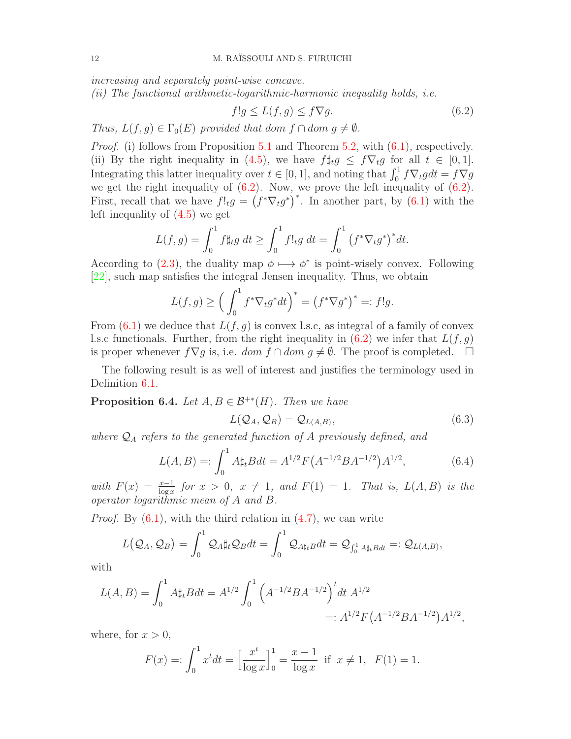increasing and separately point-wise concave.

(ii) The functional arithmetic-logarithmic-harmonic inequality holds, i.e.

<span id="page-11-0"></span>
$$
f!g \le L(f,g) \le f\nabla g. \tag{6.2}
$$

Thus,  $L(f, q) \in \Gamma_0(E)$  provided that dom  $f \cap dom\ q \neq \emptyset$ .

*Proof.* (i) follows from Proposition [5.1](#page-7-2) and Theorem [5.2,](#page-7-3) with  $(6.1)$ , respectively. (ii) By the right inequality in [\(4.5\)](#page-6-2), we have  $f \sharp_t g \leq f \nabla_t g$  for all  $t \in [0,1]$ . Integrating this latter inequality over  $t \in [0, 1]$ , and noting that  $\int_0^1 f \nabla_t g dt = f \nabla g$ we get the right inequality of  $(6.2)$ . Now, we prove the left inequality of  $(6.2)$ . First, recall that we have  $f!_{t}g = (f^*\nabla_t g^*)^*$ . In another part, by [\(6.1\)](#page-10-0) with the left inequality of [\(4.5\)](#page-6-2) we get

$$
L(f,g) = \int_0^1 f \sharp_t g \ dt \ge \int_0^1 f!_t g \ dt = \int_0^1 (f^* \nabla_t g^*)^* dt.
$$

According to [\(2.3\)](#page-2-1), the duality map  $\phi \mapsto \phi^*$  is point-wisely convex. Following [\[22\]](#page-19-21), such map satisfies the integral Jensen inequality. Thus, we obtain

$$
L(f,g) \ge \left(\int_0^1 f^* \nabla_t g^* dt\right)^* = \left(f^* \nabla g^*\right)^* =: f!g.
$$

From  $(6.1)$  we deduce that  $L(f, g)$  is convex l.s.c, as integral of a family of convex l.s.c functionals. Further, from the right inequality in  $(6.2)$  we infer that  $L(f, g)$ is proper whenever  $f\nabla g$  is, i.e.  $dom f \cap dom g \neq \emptyset$ . The proof is completed.  $\square$ 

The following result is as well of interest and justifies the terminology used in Definition [6.1.](#page-10-1)

**Proposition 6.4.** Let  $A, B \in \mathcal{B}^{+*}(H)$ . Then we have

<span id="page-11-2"></span>
$$
L(\mathcal{Q}_A, \mathcal{Q}_B) = \mathcal{Q}_{L(A,B)},\tag{6.3}
$$

where  $\mathcal{Q}_A$  refers to the generated function of A previously defined, and

<span id="page-11-1"></span>
$$
L(A, B) =: \int_0^1 A \sharp_t B dt = A^{1/2} F(A^{-1/2} B A^{-1/2}) A^{1/2}, \tag{6.4}
$$

with  $F(x) = \frac{x-1}{\log x}$  for  $x > 0$ ,  $x \neq 1$ , and  $F(1) = 1$ . That is,  $L(A, B)$  is the operator logarithmic mean of A and B.

*Proof.* By  $(6.1)$ , with the third relation in  $(4.7)$ , we can write

$$
L\big(\mathcal{Q}_A,\mathcal{Q}_B\big)=\int_0^1\mathcal{Q}_A\sharp_t\mathcal{Q}_Bdt=\int_0^1\mathcal{Q}_{A\sharp_tB}dt=\mathcal{Q}_{\int_0^1A\sharp_tBdt}=:Q_{L(A,B)},
$$

with

$$
L(A, B) = \int_0^1 A \sharp_t B dt = A^{1/2} \int_0^1 \left( A^{-1/2} B A^{-1/2} \right)^t dt A^{1/2}
$$
  
=:  $A^{1/2} F(A^{-1/2} B A^{-1/2}) A^{1/2},$ 

where, for  $x > 0$ ,

$$
F(x) =: \int_0^1 x^t dt = \left[\frac{x^t}{\log x}\right]_0^1 = \frac{x-1}{\log x} \text{ if } x \neq 1, F(1) = 1.
$$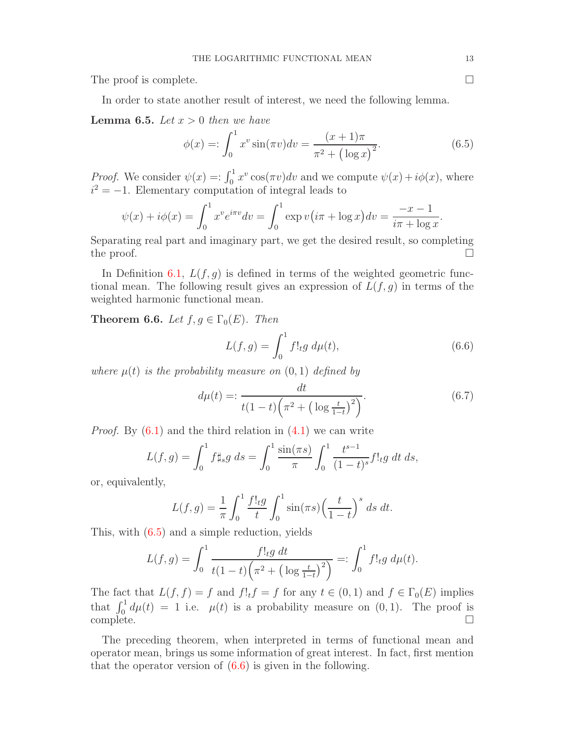The proof is complete.  $\Box$ 

In order to state another result of interest, we need the following lemma.

**Lemma 6.5.** Let  $x > 0$  then we have

<span id="page-12-0"></span>
$$
\phi(x) =: \int_0^1 x^v \sin(\pi v) dv = \frac{(x+1)\pi}{\pi^2 + (\log x)^2}.
$$
\n(6.5)

*Proof.* We consider  $\psi(x) = \int_0^1 x^v \cos(\pi v) dv$  and we compute  $\psi(x) + i\phi(x)$ , where  $i^2 = -1$ . Elementary computation of integral leads to

$$
\psi(x) + i\phi(x) = \int_0^1 x^v e^{i\pi v} dv = \int_0^1 \exp v(i\pi + \log x) dv = \frac{-x - 1}{i\pi + \log x}.
$$

Separating real part and imaginary part, we get the desired result, so completing the proof.  $\Box$ 

In Definition [6.1,](#page-10-1)  $L(f, g)$  is defined in terms of the weighted geometric functional mean. The following result gives an expression of  $L(f, g)$  in terms of the weighted harmonic functional mean.

<span id="page-12-2"></span>**Theorem 6.6.** Let  $f, g \in \Gamma_0(E)$ . Then

<span id="page-12-1"></span>
$$
L(f,g) = \int_0^1 f!_t g \, d\mu(t), \tag{6.6}
$$

where  $\mu(t)$  is the probability measure on  $(0, 1)$  defined by

<span id="page-12-3"></span>
$$
d\mu(t) =: \frac{dt}{t(1-t)\left(\pi^2 + \left(\log\frac{t}{1-t}\right)^2\right)}.\tag{6.7}
$$

*Proof.* By  $(6.1)$  and the third relation in  $(4.1)$  we can write

$$
L(f,g) = \int_0^1 f \sharp_s g \, ds = \int_0^1 \frac{\sin(\pi s)}{\pi} \int_0^1 \frac{t^{s-1}}{(1-t)^s} f!_t g \, dt \, ds,
$$

or, equivalently,

$$
L(f,g) = \frac{1}{\pi} \int_0^1 \frac{f!_t g}{t} \int_0^1 \sin(\pi s) \left(\frac{t}{1-t}\right)^s ds dt.
$$

This, with [\(6.5\)](#page-12-0) and a simple reduction, yields

$$
L(f,g) = \int_0^1 \frac{f!_t g \, dt}{t(1-t)\left(\pi^2 + \left(\log \frac{t}{1-t}\right)^2\right)} =: \int_0^1 f!_t g \, d\mu(t).
$$

The fact that  $L(f, f) = f$  and  $f!_t f = f$  for any  $t \in (0, 1)$  and  $f \in \Gamma_0(E)$  implies that  $\int_0^1 d\mu(t) = 1$  i.e.  $\mu(t)$  is a probability measure on  $(0, 1)$ . The proof is  $\Box$ complete.  $\Box$ 

The preceding theorem, when interpreted in terms of functional mean and operator mean, brings us some information of great interest. In fact, first mention that the operator version of  $(6.6)$  is given in the following.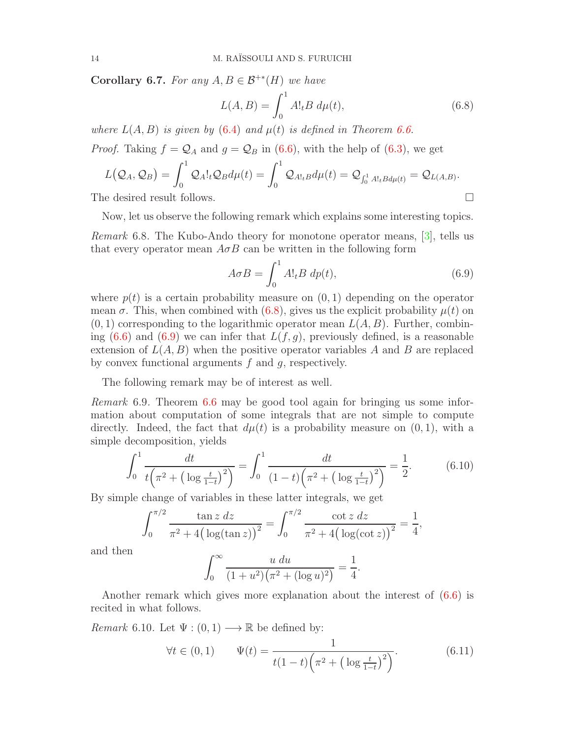**Corollary 6.7.** For any  $A, B \in \mathcal{B}^{+*}(H)$  we have

<span id="page-13-0"></span>
$$
L(A, B) = \int_0^1 A!_t B \, d\mu(t), \tag{6.8}
$$

where  $L(A, B)$  is given by  $(6.4)$  and  $\mu(t)$  is defined in Theorem [6.6.](#page-12-2)

*Proof.* Taking  $f = Q_A$  and  $g = Q_B$  in [\(6.6\)](#page-12-1), with the help of [\(6.3\)](#page-11-2), we get

$$
L(Q_A, Q_B) = \int_0^1 Q_A!_t Q_B d\mu(t) = \int_0^1 Q_{A!_t} d\mu(t) = Q_{\int_0^1 A!_t B d\mu(t)} = Q_{L(A, B)}.
$$
  
The desired result follows.

Now, let us observe the following remark which explains some interesting topics.

Remark 6.8. The Kubo-Ando theory for monotone operator means, [\[3\]](#page-19-2), tells us that every operator mean  $A \sigma B$  can be written in the following form

<span id="page-13-1"></span>
$$
A\sigma B = \int_0^1 A!_t B \, dp(t),\tag{6.9}
$$

where  $p(t)$  is a certain probability measure on  $(0, 1)$  depending on the operator mean  $\sigma$ . This, when combined with [\(6.8\)](#page-13-0), gives us the explicit probability  $\mu(t)$  on  $(0, 1)$  corresponding to the logarithmic operator mean  $L(A, B)$ . Further, combining  $(6.6)$  and  $(6.9)$  we can infer that  $L(f, g)$ , previously defined, is a reasonable extension of  $L(A, B)$  when the positive operator variables A and B are replaced by convex functional arguments f and g, respectively.

The following remark may be of interest as well.

Remark 6.9. Theorem [6.6](#page-12-2) may be good tool again for bringing us some information about computation of some integrals that are not simple to compute directly. Indeed, the fact that  $d\mu(t)$  is a probability measure on  $(0, 1)$ , with a simple decomposition, yields

<span id="page-13-2"></span>
$$
\int_0^1 \frac{dt}{t\left(\pi^2 + \left(\log \frac{t}{1-t}\right)^2\right)} = \int_0^1 \frac{dt}{\left(1-t\right)\left(\pi^2 + \left(\log \frac{t}{1-t}\right)^2\right)} = \frac{1}{2}.
$$
 (6.10)

By simple change of variables in these latter integrals, we get

$$
\int_0^{\pi/2} \frac{\tan z \, dz}{\pi^2 + 4\big(\log(\tan z)\big)^2} = \int_0^{\pi/2} \frac{\cot z \, dz}{\pi^2 + 4\big(\log(\cot z)\big)^2} = \frac{1}{4},
$$

and then

$$
\int_0^\infty \frac{u \, du}{(1+u^2)(\pi^2 + (\log u)^2)} = \frac{1}{4}.
$$

Another remark which gives more explanation about the interest of [\(6.6\)](#page-12-1) is recited in what follows.

*Remark* 6.10. Let  $\Psi : (0,1) \longrightarrow \mathbb{R}$  be defined by:

$$
\forall t \in (0,1) \qquad \Psi(t) = \frac{1}{t(1-t)\left(\pi^2 + \left(\log \frac{t}{1-t}\right)^2\right)}.\tag{6.11}
$$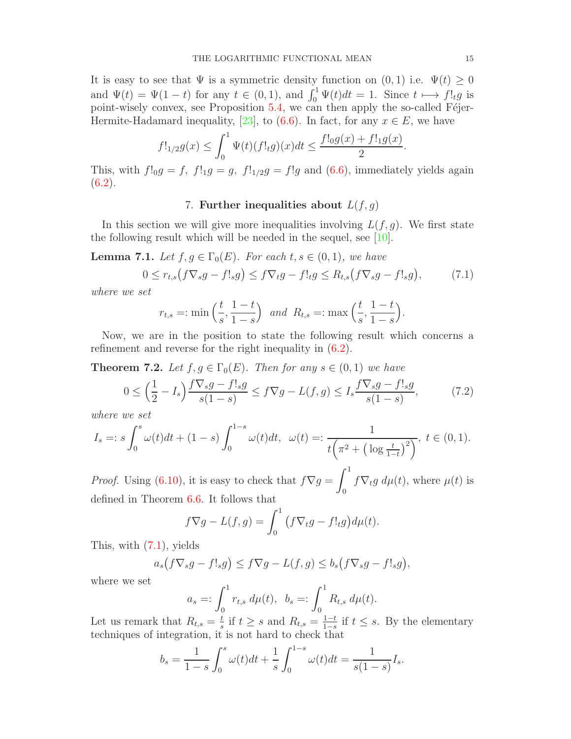It is easy to see that  $\Psi$  is a symmetric density function on  $(0,1)$  i.e.  $\Psi(t) \geq 0$ and  $\Psi(t) = \Psi(1-t)$  for any  $t \in (0,1)$ , and  $\int_0^1 \Psi(t)dt = 1$ . Since  $t \mapsto f!_t g$  is point-wisely convex, see Proposition  $5.4$ , we can then apply the so-called Féjer-Hermite-Hadamard inequality, [\[23\]](#page-19-22), to [\(6.6\)](#page-12-1). In fact, for any  $x \in E$ , we have

$$
f!_{1/2}g(x) \le \int_0^1 \Psi(t)(f!_tg)(x)dt \le \frac{f!_0g(x) + f!_1g(x)}{2}.
$$

This, with  $f!_0g = f$ ,  $f!_1g = g$ ,  $f!_{1/2}g = f!g$  and [\(6.6\)](#page-12-1), immediately yields again  $(6.2).$  $(6.2).$ 

# 7. Further inequalities about  $L(f, g)$

In this section we will give more inequalities involving  $L(f, g)$ . We first state the following result which will be needed in the sequel, see [\[10\]](#page-19-9).

**Lemma 7.1.** Let  $f, g \in \Gamma_0(E)$ . For each  $t, s \in (0,1)$ , we have

<span id="page-14-0"></span>
$$
0 \le r_{t,s}(f\nabla_s g - f!_s g) \le f \nabla_t g - f!_t g \le R_{t,s}(f \nabla_s g - f!_s g), \tag{7.1}
$$

where we set

$$
r_{t,s} =: \min\left(\frac{t}{s}, \frac{1-t}{1-s}\right)
$$
 and  $R_{t,s} =: \max\left(\frac{t}{s}, \frac{1-t}{1-s}\right).$ 

Now, we are in the position to state the following result which concerns a refinement and reverse for the right inequality in [\(6.2\)](#page-11-0).

<span id="page-14-2"></span>**Theorem 7.2.** Let  $f, g \in \Gamma_0(E)$ . Then for any  $s \in (0,1)$  we have

<span id="page-14-1"></span>
$$
0 \le \left(\frac{1}{2} - I_s\right) \frac{f \nabla_s g - f!_s g}{s(1-s)} \le f \nabla g - L(f, g) \le I_s \frac{f \nabla_s g - f!_s g}{s(1-s)},\tag{7.2}
$$

where we set

$$
I_s =: s \int_0^s \omega(t)dt + (1-s) \int_0^{1-s} \omega(t)dt, \ \ \omega(t) =: \frac{1}{t\left(\pi^2 + \left(\log \frac{t}{1-t}\right)^2\right)}, \ t \in (0,1).
$$

*Proof.* Using  $(6.10)$ , it is easy to check that  $f\nabla g =$  $\int_0^1$  $\int_0^{\pi} f \nabla_t g \, d\mu(t)$ , where  $\mu(t)$  is defined in Theorem [6.6.](#page-12-2) It follows that

$$
f\nabla g - L(f,g) = \int_0^1 (f\nabla_t g - f!_t g) d\mu(t).
$$

This, with [\(7.1\)](#page-14-0), yields

$$
a_s(f\nabla_sg - f!_sg) \le f\nabla g - L(f,g) \le b_s(f\nabla_sg - f!_sg),
$$

where we set

$$
a_s =: \int_0^1 r_{t,s} \, d\mu(t), \quad b_s =: \int_0^1 R_{t,s} \, d\mu(t).
$$

Let us remark that  $R_{t,s} = \frac{t}{s}$  $\frac{t}{s}$  if  $t \geq s$  and  $R_{t,s} = \frac{1-t}{1-s}$  $\frac{1-t}{1-s}$  if  $t \leq s$ . By the elementary techniques of integration, it is not hard to check that

$$
b_s = \frac{1}{1-s} \int_0^s \omega(t)dt + \frac{1}{s} \int_0^{1-s} \omega(t)dt = \frac{1}{s(1-s)} I_s.
$$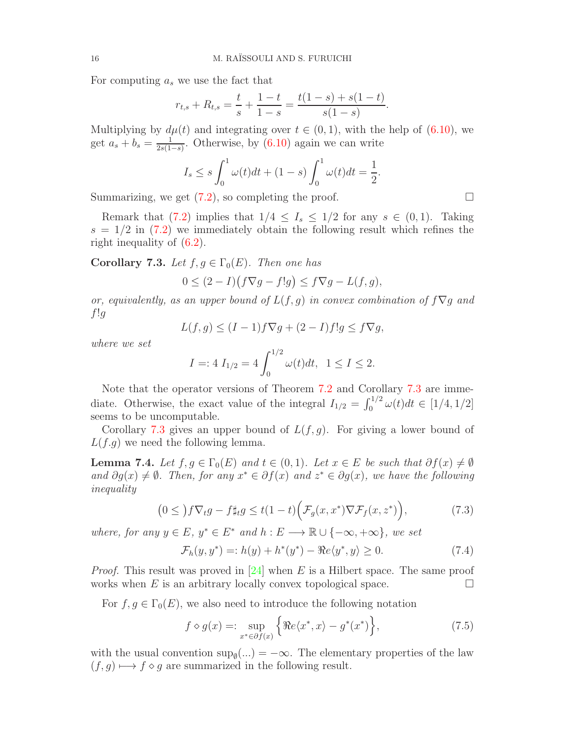For computing  $a_s$  we use the fact that

$$
r_{t,s} + R_{t,s} = \frac{t}{s} + \frac{1-t}{1-s} = \frac{t(1-s) + s(1-t)}{s(1-s)}.
$$

Multiplying by  $d\mu(t)$  and integrating over  $t \in (0,1)$ , with the help of  $(6.10)$ , we get  $a_s + b_s = \frac{1}{2s(1)}$  $\frac{1}{2s(1-s)}$ . Otherwise, by [\(6.10\)](#page-13-2) again we can write

$$
I_s \le s \int_0^1 \omega(t)dt + (1-s)\int_0^1 \omega(t)dt = \frac{1}{2}.
$$

Summarizing, we get [\(7.2\)](#page-14-1), so completing the proof.

Remark that [\(7.2\)](#page-14-1) implies that  $1/4 \leq I_s \leq 1/2$  for any  $s \in (0,1)$ . Taking  $s = 1/2$  in  $(7.2)$  we immediately obtain the following result which refines the right inequality of [\(6.2\)](#page-11-0).

<span id="page-15-0"></span>Corollary 7.3. Let  $f, g \in \Gamma_0(E)$ . Then one has

$$
0 \le (2 - I)(f\nabla g - f!g) \le f\nabla g - L(f, g),
$$

or, equivalently, as an upper bound of  $L(f, g)$  in convex combination of  $f\nabla g$  and  $f!g$ 

$$
L(f,g) \le (I-1)f\nabla g + (2-I)f!g \le f\nabla g,
$$

where we set

$$
I = 4 I_{1/2} = 4 \int_0^{1/2} \omega(t) dt, \ \ 1 \le I \le 2.
$$

Note that the operator versions of Theorem [7.2](#page-14-2) and Corollary [7.3](#page-15-0) are immediate. Otherwise, the exact value of the integral  $I_{1/2} = \int_0^{1/2} \omega(t) dt \in [1/4, 1/2]$ seems to be uncomputable.

Corollary [7.3](#page-15-0) gives an upper bound of  $L(f, g)$ . For giving a lower bound of  $L(f.g)$  we need the following lemma.

**Lemma 7.4.** Let  $f, g \in \Gamma_0(E)$  and  $t \in (0,1)$ . Let  $x \in E$  be such that  $\partial f(x) \neq \emptyset$ and  $\partial g(x) \neq \emptyset$ . Then, for any  $x^* \in \partial f(x)$  and  $z^* \in \partial g(x)$ , we have the following inequality

<span id="page-15-2"></span>
$$
(0 \leq ) f \nabla_t g - f \sharp_t g \leq t (1 - t) \Big( \mathcal{F}_g(x, x^*) \nabla \mathcal{F}_f(x, z^*) \Big), \tag{7.3}
$$

where, for any  $y \in E$ ,  $y^* \in E^*$  and  $h : E \longrightarrow \mathbb{R} \cup \{-\infty, +\infty\}$ , we set

<span id="page-15-3"></span>
$$
\mathcal{F}_h(y, y^*) =: h(y) + h^*(y^*) - \Re e \langle y^*, y \rangle \ge 0.
$$
 (7.4)

*Proof.* This result was proved in  $[24]$  when E is a Hilbert space. The same proof works when E is an arbitrary locally convex topological space.  $\Box$ 

For  $f, g \in \Gamma_0(E)$ , we also need to introduce the following notation

<span id="page-15-1"></span>
$$
f \diamond g(x) =: \sup_{x^* \in \partial f(x)} \left\{ \Re e \langle x^*, x \rangle - g^*(x^*) \right\},\tag{7.5}
$$

with the usual convention  $\sup_{\emptyset}$ (...) =  $-\infty$ . The elementary properties of the law  $(f, g) \mapsto f \diamond g$  are summarized in the following result.

$$
\qquad \qquad \Box
$$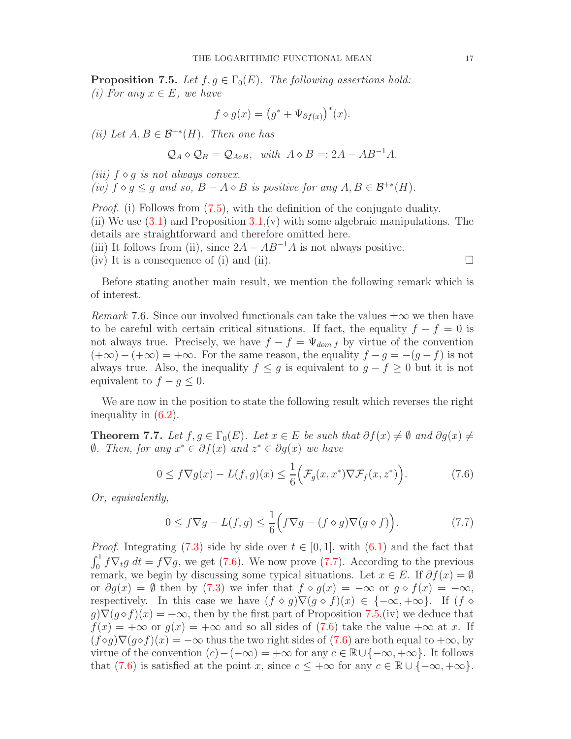<span id="page-16-2"></span>**Proposition 7.5.** Let  $f, g \in \Gamma_0(E)$ . The following assertions hold: (i) For any  $x \in E$ , we have

$$
f \diamond g(x) = (g^* + \Psi_{\partial f(x)})^*(x).
$$

(ii) Let  $A, B \in \mathcal{B}^{+*}(H)$ . Then one has

$$
Q_A \diamond Q_B = Q_{A \diamond B}
$$
, with  $A \diamond B =: 2A - AB^{-1}A$ .

(iii)  $f \diamond g$  is not always convex.

(iv)  $f \diamond g \leq g$  and so,  $B - A \diamond B$  is positive for any  $A, B \in \mathcal{B}^{+*}(H)$ .

*Proof.* (i) Follows from [\(7.5\)](#page-15-1), with the definition of the conjugate duality. (ii) We use  $(3.1)$  and Proposition  $3.1(v)$  with some algebraic manipulations. The details are straightforward and therefore omitted here. (iii) It follows from (ii), since  $2A - AB^{-1}A$  is not always positive.

(iv) It is a consequence of (i) and (ii).

$$
\overline{a}
$$

Before stating another main result, we mention the following remark which is of interest.

Remark 7.6. Since our involved functionals can take the values  $\pm\infty$  we then have to be careful with certain critical situations. If fact, the equality  $f - f = 0$  is not always true. Precisely, we have  $f - f = \Psi_{dom f}$  by virtue of the convention  $(+\infty) - (+\infty) = +\infty$ . For the same reason, the equality  $f - g = -(g - f)$  is not always true. Also, the inequality  $f \leq g$  is equivalent to  $g - f \geq 0$  but it is not equivalent to  $f - g \leq 0$ .

We are now in the position to state the following result which reverses the right inequality in [\(6.2\)](#page-11-0).

<span id="page-16-3"></span>**Theorem 7.7.** Let  $f, g \in \Gamma_0(E)$ . Let  $x \in E$  be such that  $\partial f(x) \neq \emptyset$  and  $\partial g(x) \neq \emptyset$  $\emptyset$ . Then, for any  $x^* \in \partial f(x)$  and  $z^* \in \partial g(x)$  we have

<span id="page-16-0"></span>
$$
0 \le f \nabla g(x) - L(f, g)(x) \le \frac{1}{6} \Big( \mathcal{F}_g(x, x^*) \nabla \mathcal{F}_f(x, z^*) \Big). \tag{7.6}
$$

Or, equivalently,

<span id="page-16-1"></span>
$$
0 \le f \nabla g - L(f, g) \le \frac{1}{6} \Big( f \nabla g - (f \diamond g) \nabla (g \diamond f) \Big). \tag{7.7}
$$

*Proof.* Integrating [\(7.3\)](#page-15-2) side by side over  $t \in [0, 1]$ , with [\(6.1\)](#page-10-0) and the fact that  $\int_0^1 f \nabla_t g \ dt = f \nabla g$ , we get [\(7.6\)](#page-16-0). We now prove [\(7.7\)](#page-16-1). According to the previous remark, we begin by discussing some typical situations. Let  $x \in E$ . If  $\partial f(x) = \emptyset$ or  $\partial g(x) = \emptyset$  then by [\(7.3\)](#page-15-2) we infer that  $f \circ g(x) = -\infty$  or  $g \circ f(x) = -\infty$ , respectively. In this case we have  $(f \circ g) \nabla (g \circ f)(x) \in \{-\infty, +\infty\}.$  If  $(f \circ g)$  $g\nabla(g \diamond f)(x) = +\infty$ , then by the first part of Proposition [7.5,](#page-16-2)(iv) we deduce that  $f(x) = +\infty$  or  $g(x) = +\infty$  and so all sides of [\(7.6\)](#page-16-0) take the value  $+\infty$  at x. If  $(f \circ g) \nabla (g \circ f)(x) = -\infty$  thus the two right sides of [\(7.6\)](#page-16-0) are both equal to  $+\infty$ , by virtue of the convention  $(c)-(-\infty) = +\infty$  for any  $c \in \mathbb{R} \cup \{-\infty, +\infty\}$ . It follows that [\(7.6\)](#page-16-0) is satisfied at the point x, since  $c \leq +\infty$  for any  $c \in \mathbb{R} \cup \{-\infty, +\infty\}.$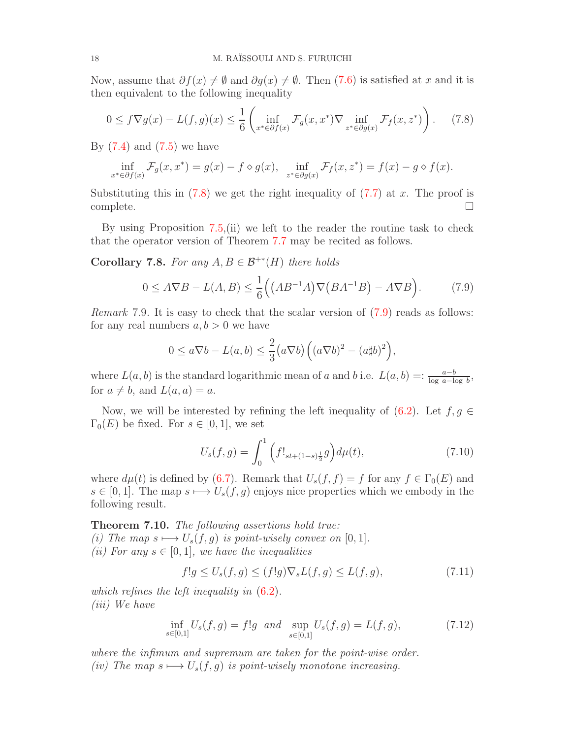Now, assume that  $\partial f(x) \neq \emptyset$  and  $\partial g(x) \neq \emptyset$ . Then [\(7.6\)](#page-16-0) is satisfied at x and it is then equivalent to the following inequality

<span id="page-17-0"></span>
$$
0 \le f \nabla g(x) - L(f, g)(x) \le \frac{1}{6} \left( \inf_{x^* \in \partial f(x)} \mathcal{F}_g(x, x^*) \nabla \inf_{z^* \in \partial g(x)} \mathcal{F}_f(x, z^*) \right). \tag{7.8}
$$

By  $(7.4)$  and  $(7.5)$  we have

$$
\inf_{x^* \in \partial f(x)} \mathcal{F}_g(x, x^*) = g(x) - f \diamond g(x), \quad \inf_{z^* \in \partial g(x)} \mathcal{F}_f(x, z^*) = f(x) - g \diamond f(x).
$$

Substituting this in  $(7.8)$  we get the right inequality of  $(7.7)$  at x. The proof is  $\Box$ 

By using Proposition [7.5,](#page-16-2)(ii) we left to the reader the routine task to check that the operator version of Theorem [7.7](#page-16-3) may be recited as follows.

**Corollary 7.8.** For any  $A, B \in \mathcal{B}^{+*}(H)$  there holds

<span id="page-17-1"></span>
$$
0 \le A \nabla B - L(A, B) \le \frac{1}{6} \Big( \left( AB^{-1}A \right) \nabla \left( BA^{-1}B \right) - A \nabla B \Big). \tag{7.9}
$$

Remark 7.9. It is easy to check that the scalar version of  $(7.9)$  reads as follows: for any real numbers  $a, b > 0$  we have

$$
0 \le a \nabla b - L(a, b) \le \frac{2}{3} (a \nabla b) \Big( (a \nabla b)^2 - (a \sharp b)^2 \Big),
$$

where  $L(a, b)$  is the standard logarithmic mean of a and b i.e.  $L(a, b) =: \frac{a - b}{\log a - \log b}$ , for  $a \neq b$ , and  $L(a, a) = a$ .

Now, we will be interested by refining the left inequality of  $(6.2)$ . Let  $f, g \in$  $\Gamma_0(E)$  be fixed. For  $s \in [0,1]$ , we set

<span id="page-17-3"></span>
$$
U_s(f,g) = \int_0^1 \left( f!_{st + (1-s)\frac{1}{2}} g \right) d\mu(t), \tag{7.10}
$$

where  $d\mu(t)$  is defined by [\(6.7\)](#page-12-3). Remark that  $U_s(f, f) = f$  for any  $f \in \Gamma_0(E)$  and  $s \in [0, 1]$ . The map  $s \longmapsto U_s(f, g)$  enjoys nice properties which we embody in the following result.

<span id="page-17-5"></span>**Theorem 7.10.** The following assertions hold true: (i) The map  $s \mapsto U_s(f, g)$  is point-wisely convex on [0, 1]. (ii) For any  $s \in [0,1]$ , we have the inequalities

<span id="page-17-2"></span>
$$
f!g \le U_s(f,g) \le (f!g)\nabla_s L(f,g) \le L(f,g),\tag{7.11}
$$

which refines the left inequality in  $(6.2)$ . (iii) We have

<span id="page-17-4"></span>
$$
\inf_{s \in [0,1]} U_s(f,g) = f!g \text{ and } \sup_{s \in [0,1]} U_s(f,g) = L(f,g), \tag{7.12}
$$

where the infimum and supremum are taken for the point-wise order. (iv) The map  $s \mapsto U_s(f, g)$  is point-wisely monotone increasing.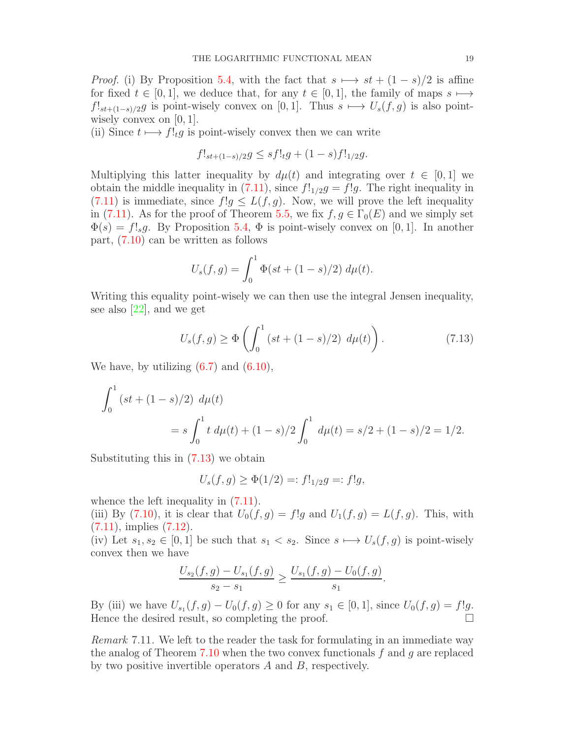*Proof.* (i) By Proposition [5.4,](#page-8-2) with the fact that  $s \mapsto st + (1 - s)/2$  is affine for fixed  $t \in [0,1]$ , we deduce that, for any  $t \in [0,1]$ , the family of maps  $s \mapsto$  $f!_{st+(1-s)/2}g$  is point-wisely convex on [0, 1]. Thus  $s \mapsto U_s(f,g)$  is also pointwisely convex on  $[0, 1]$ .

(ii) Since  $t \mapsto f!_t g$  is point-wisely convex then we can write

$$
f!_{st+(1-s)/2}g \le sf!_tg + (1-s)f!_{1/2}g.
$$

Multiplying this latter inequality by  $d\mu(t)$  and integrating over  $t \in [0,1]$  we obtain the middle inequality in [\(7.11\)](#page-17-2), since  $f!_{1/2}g = f!g$ . The right inequality in [\(7.11\)](#page-17-2) is immediate, since  $f!g \leq L(f,g)$ . Now, we will prove the left inequality in [\(7.11\)](#page-17-2). As for the proof of Theorem [5.5,](#page-9-3) we fix  $f, g \in \Gamma_0(E)$  and we simply set  $\Phi(s) = f!_s g$ . By Proposition [5.4,](#page-8-2)  $\Phi$  is point-wisely convex on [0, 1]. In another part, [\(7.10\)](#page-17-3) can be written as follows

$$
U_s(f,g) = \int_0^1 \Phi(st + (1-s)/2) \, d\mu(t).
$$

Writing this equality point-wisely we can then use the integral Jensen inequality, see also [\[22\]](#page-19-21), and we get

<span id="page-18-0"></span>
$$
U_s(f,g) \ge \Phi\left(\int_0^1 (st + (1-s)/2) \ d\mu(t)\right). \tag{7.13}
$$

We have, by utilizing  $(6.7)$  and  $(6.10)$ ,

$$
\int_0^1 (st + (1 - s)/2) d\mu(t)
$$
  
=  $s \int_0^1 t d\mu(t) + (1 - s)/2 \int_0^1 d\mu(t) = s/2 + (1 - s)/2 = 1/2.$ 

Substituting this in  $(7.13)$  we obtain

$$
U_s(f,g) \ge \Phi(1/2) =: f!_{1/2}g =: f!g,
$$

whence the left inequality in  $(7.11)$ .

(iii) By [\(7.10\)](#page-17-3), it is clear that  $U_0(f,g) = f!g$  and  $U_1(f,g) = L(f,g)$ . This, with  $(7.11)$ , implies  $(7.12)$ .

(iv) Let  $s_1, s_2 \in [0, 1]$  be such that  $s_1 < s_2$ . Since  $s \mapsto U_s(f, g)$  is point-wisely convex then we have

$$
\frac{U_{s_2}(f,g) - U_{s_1}(f,g)}{s_2 - s_1} \ge \frac{U_{s_1}(f,g) - U_0(f,g)}{s_1}.
$$

By (iii) we have  $U_{s_1}(f,g) - U_0(f,g) \ge 0$  for any  $s_1 \in [0,1]$ , since  $U_0(f,g) = f!g$ . Hence the desired result, so completing the proof.

Remark 7.11. We left to the reader the task for formulating in an immediate way the analog of Theorem [7.10](#page-17-5) when the two convex functionals  $f$  and  $g$  are replaced by two positive invertible operators A and B, respectively.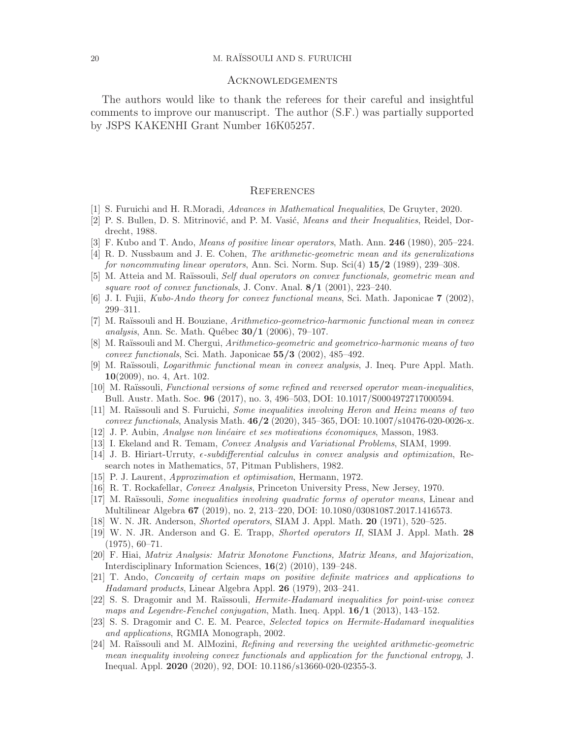#### 20 M. RAÏSSOULI AND S. FURUICHI

#### Acknowledgements

The authors would like to thank the referees for their careful and insightful comments to improve our manuscript. The author (S.F.) was partially supported by JSPS KAKENHI Grant Number 16K05257.

#### **REFERENCES**

- <span id="page-19-1"></span><span id="page-19-0"></span>[1] S. Furuichi and H. R.Moradi, Advances in Mathematical Inequalities, De Gruyter, 2020.
- <span id="page-19-2"></span>[2] P. S. Bullen, D. S. Mitrinović, and P. M. Vasić, *Means and their Inequalities*, Reidel, Dordrecht, 1988.
- <span id="page-19-3"></span>[3] F. Kubo and T. Ando, *Means of positive linear operators*, Math. Ann. **246** (1980), 205–224.
- <span id="page-19-4"></span>[4] R. D. Nussbaum and J. E. Cohen, The arithmetic-geometric mean and its generalizations for noncommuting linear operators, Ann. Sci. Norm. Sup. Sci $(4)$  15/2 (1989), 239–308.
- <span id="page-19-5"></span>[5] M. Atteia and M. Raïssouli, Self dual operators on convex functionals, geometric mean and square root of convex functionals, J. Conv. Anal.  $8/1$  (2001), 223-240.
- <span id="page-19-6"></span>[6] J. I. Fujii, Kubo-Ando theory for convex functional means, Sci. Math. Japonicae 7 (2002), 299–311.
- [7] M. Raïssouli and H. Bouziane, Arithmetico-geometrico-harmonic functional mean in convex analysis, Ann. Sc. Math. Québec  $30/1$  (2006), 79–107.
- <span id="page-19-7"></span>[8] M. Raïssouli and M. Chergui, Arithmetico-geometric and geometrico-harmonic means of two convex functionals, Sci. Math. Japonicae 55/3 (2002), 485–492.
- <span id="page-19-8"></span>[9] M. Raïssouli, *Logarithmic functional mean in convex analysis*, J. Ineq. Pure Appl. Math. 10(2009), no. 4, Art. 102.
- <span id="page-19-9"></span>[10] M. Raïssouli, Functional versions of some refined and reversed operator mean-inequalities, Bull. Austr. Math. Soc. 96 (2017), no. 3, 496–503, DOI: 10.1017/S0004972717000594.
- <span id="page-19-10"></span>[11] M. Raïssouli and S. Furuichi, Some inequalities involving Heron and Heinz means of two convex functionals, Analysis Math. 46/2 (2020), 345–365, DOI: 10.1007/s10476-020-0026-x.
- <span id="page-19-12"></span><span id="page-19-11"></span>[12] J. P. Aubin, *Analyse non linéaire et ses motivations économiques*, Masson, 1983.
- <span id="page-19-13"></span>[13] I. Ekeland and R. Temam, Convex Analysis and Variational Problems, SIAM, 1999.
- [14] J. B. Hiriart-Urruty,  $\epsilon$ -subdifferential calculus in convex analysis and optimization, Research notes in Mathematics, 57, Pitman Publishers, 1982.
- <span id="page-19-15"></span><span id="page-19-14"></span>[15] P. J. Laurent, Approximation et optimisation, Hermann, 1972.
- <span id="page-19-16"></span>[16] R. T. Rockafellar, Convex Analysis, Princeton University Press, New Jersey, 1970.
- [17] M. Raïssouli, *Some inequalities involving quadratic forms of operator means*, Linear and Multilinear Algebra 67 (2019), no. 2, 213–220, DOI: 10.1080/03081087.2017.1416573.
- <span id="page-19-18"></span><span id="page-19-17"></span>[18] W. N. JR. Anderson, Shorted operators, SIAM J. Appl. Math. 20 (1971), 520–525.
- [19] W. N. JR. Anderson and G. E. Trapp, *Shorted operators II*, SIAM J. Appl. Math. 28 (1975), 60–71.
- <span id="page-19-19"></span>[20] F. Hiai, Matrix Analysis: Matrix Monotone Functions, Matrix Means, and Majorization, Interdisciplinary Information Sciences, 16(2) (2010), 139–248.
- <span id="page-19-20"></span>[21] T. Ando, Concavity of certain maps on positive definite matrices and applications to Hadamard products, Linear Algebra Appl. 26 (1979), 203–241.
- <span id="page-19-21"></span>[22] S. S. Dragomir and M. Raïssouli, *Hermite-Hadamard inequalities for point-wise convex* maps and Legendre-Fenchel conjugation, Math. Ineq. Appl. 16/1 (2013), 143–152.
- <span id="page-19-22"></span>[23] S. S. Dragomir and C. E. M. Pearce, Selected topics on Hermite-Hadamard inequalities and applications, RGMIA Monograph, 2002.
- <span id="page-19-23"></span>[24] M. Raïssouli and M. AlMozini, *Refining and reversing the weighted arithmetic-geometric* mean inequality involving convex functionals and application for the functional entropy, J. Inequal. Appl. 2020 (2020), 92, DOI: 10.1186/s13660-020-02355-3.